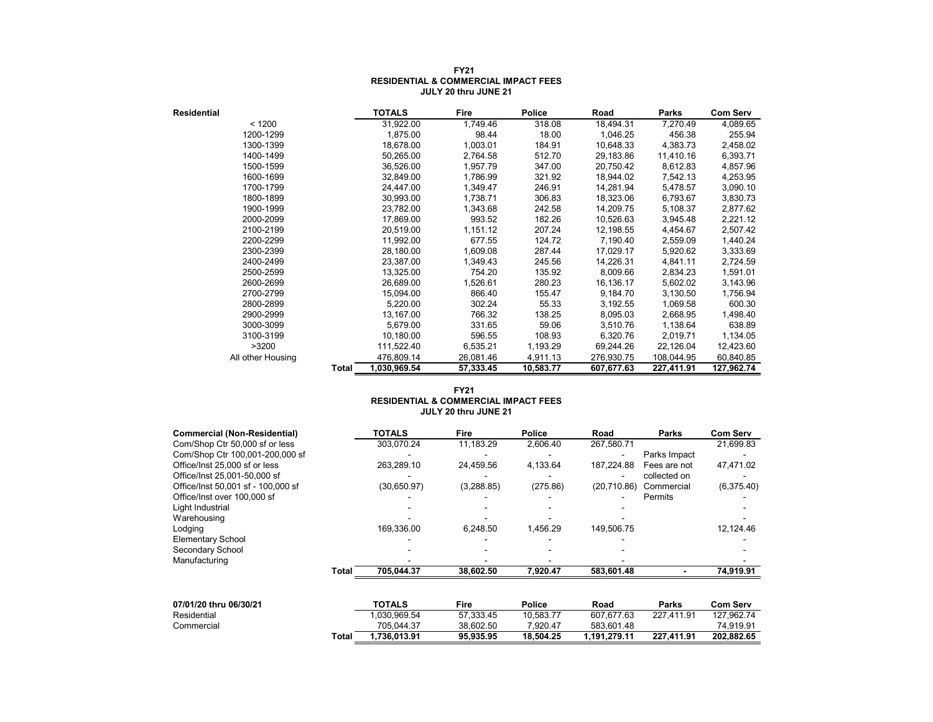| <b>Residential</b> |       | <b>TOTALS</b> | Fire      | <b>Police</b> | Road       | Parks      | <b>Com Serv</b> |
|--------------------|-------|---------------|-----------|---------------|------------|------------|-----------------|
| < 1200             |       | 31,922.00     | 1,749.46  | 318.08        | 18,494.31  | 7,270.49   | 4,089.65        |
| 1200-1299          |       | 1,875.00      | 98.44     | 18.00         | 1,046.25   | 456.38     | 255.94          |
| 1300-1399          |       | 18,678.00     | 1,003.01  | 184.91        | 10,648.33  | 4,383.73   | 2,458.02        |
| 1400-1499          |       | 50,265.00     | 2,764.58  | 512.70        | 29,183.86  | 11,410.16  | 6,393.71        |
| 1500-1599          |       | 36,526.00     | 1,957.79  | 347.00        | 20,750.42  | 8,612.83   | 4,857.96        |
| 1600-1699          |       | 32,849.00     | 1,786.99  | 321.92        | 18,944.02  | 7,542.13   | 4,253.95        |
| 1700-1799          |       | 24,447.00     | 1,349.47  | 246.91        | 14,281.94  | 5,478.57   | 3,090.10        |
| 1800-1899          |       | 30,993.00     | 1,738.71  | 306.83        | 18,323.06  | 6,793.67   | 3,830.73        |
| 1900-1999          |       | 23,782.00     | 1,343.68  | 242.58        | 14,209.75  | 5,108.37   | 2,877.62        |
| 2000-2099          |       | 17,869.00     | 993.52    | 182.26        | 10,526.63  | 3.945.48   | 2,221.12        |
| 2100-2199          |       | 20,519.00     | 1,151.12  | 207.24        | 12,198.55  | 4,454.67   | 2,507.42        |
| 2200-2299          |       | 11,992.00     | 677.55    | 124.72        | 7,190.40   | 2,559.09   | 1,440.24        |
| 2300-2399          |       | 28,180.00     | 1,609.08  | 287.44        | 17,029.17  | 5,920.62   | 3,333.69        |
| 2400-2499          |       | 23,387.00     | 1,349.43  | 245.56        | 14,226.31  | 4,841.11   | 2,724.59        |
| 2500-2599          |       | 13,325.00     | 754.20    | 135.92        | 8,009.66   | 2,834.23   | 1,591.01        |
| 2600-2699          |       | 26,689.00     | 1,526.61  | 280.23        | 16,136.17  | 5,602.02   | 3,143.96        |
| 2700-2799          |       | 15,094.00     | 866.40    | 155.47        | 9,184.70   | 3,130.50   | 1,756.94        |
| 2800-2899          |       | 5,220.00      | 302.24    | 55.33         | 3,192.55   | 1,069.58   | 600.30          |
| 2900-2999          |       | 13,167.00     | 766.32    | 138.25        | 8,095.03   | 2,668.95   | 1,498.40        |
| 3000-3099          |       | 5,679.00      | 331.65    | 59.06         | 3,510.76   | 1,138.64   | 638.89          |
| 3100-3199          |       | 10,180.00     | 596.55    | 108.93        | 6,320.76   | 2,019.71   | 1,134.05        |
| >3200              |       | 111,522.40    | 6,535.21  | 1,193.29      | 69,244.26  | 22,126.04  | 12,423.60       |
| All other Housing  |       | 476,809.14    | 26,081.46 | 4,911.13      | 276,930.75 | 108,044.95 | 60,840.85       |
|                    | Total | 1,030,969.54  | 57,333.45 | 10,583.77     | 607,677.63 | 227,411.91 | 127,962.74      |

#### **FY21 RESIDENTIAL & COMMERCIAL IMPACT FEES JULY 20 thru JUNE 21**

#### **FY21 RESIDENTIAL & COMMERCIAL IMPACT FEES JULY 20 thru JUNE 21**

| <b>Commercial (Non-Residential)</b> |       | <b>TOTALS</b> | <b>Fire</b> | Police    | Road         | Parks        | <b>Com Serv</b> |
|-------------------------------------|-------|---------------|-------------|-----------|--------------|--------------|-----------------|
| Com/Shop Ctr 50,000 sf or less      |       | 303,070.24    | 11,183.29   | 2.606.40  | 267,580.71   |              | 21,699.83       |
| Com/Shop Ctr 100,001-200,000 sf     |       |               |             |           |              | Parks Impact |                 |
| Office/Inst 25,000 sf or less       |       | 263.289.10    | 24.459.56   | 4,133.64  | 187,224.88   | Fees are not | 47,471.02       |
| Office/Inst 25,001-50,000 sf        |       |               |             |           |              | collected on |                 |
| Office/Inst 50,001 sf - 100,000 sf  |       | (30,650.97)   | (3,288.85)  | (275.86)  | (20, 710.86) | Commercial   | (6,375.40)      |
| Office/Inst over 100,000 sf         |       |               |             |           |              | Permits      |                 |
| Light Industrial                    |       |               |             |           |              |              |                 |
| Warehousing                         |       |               |             |           |              |              |                 |
| Lodging                             |       | 169,336.00    | 6,248.50    | 1,456.29  | 149,506.75   |              | 12,124.46       |
| <b>Elementary School</b>            |       |               |             |           |              |              |                 |
| Secondary School                    |       |               |             |           |              |              |                 |
| Manufacturing                       |       |               |             |           |              |              |                 |
|                                     | Total | 705,044.37    | 38,602.50   | 7,920.47  | 583,601.48   |              | 74,919.91       |
|                                     |       |               |             |           |              |              |                 |
| 07/01/20 thru 06/30/21              |       | <b>TOTALS</b> | <b>Fire</b> | Police    | Road         | <b>Parks</b> | <b>Com Serv</b> |
| Residential                         |       | 030,969.54    | 57.333.45   | 10,583.77 | 607,677.63   | 227,411.91   | 127,962.74      |
| Commercial                          |       | 705,044.37    | 38,602.50   | 7,920.47  | 583,601.48   |              | 74,919.91       |
|                                     | Total | 1,736,013.91  | 95,935.95   | 18,504.25 | 1,191,279.11 | 227,411.91   | 202,882.65      |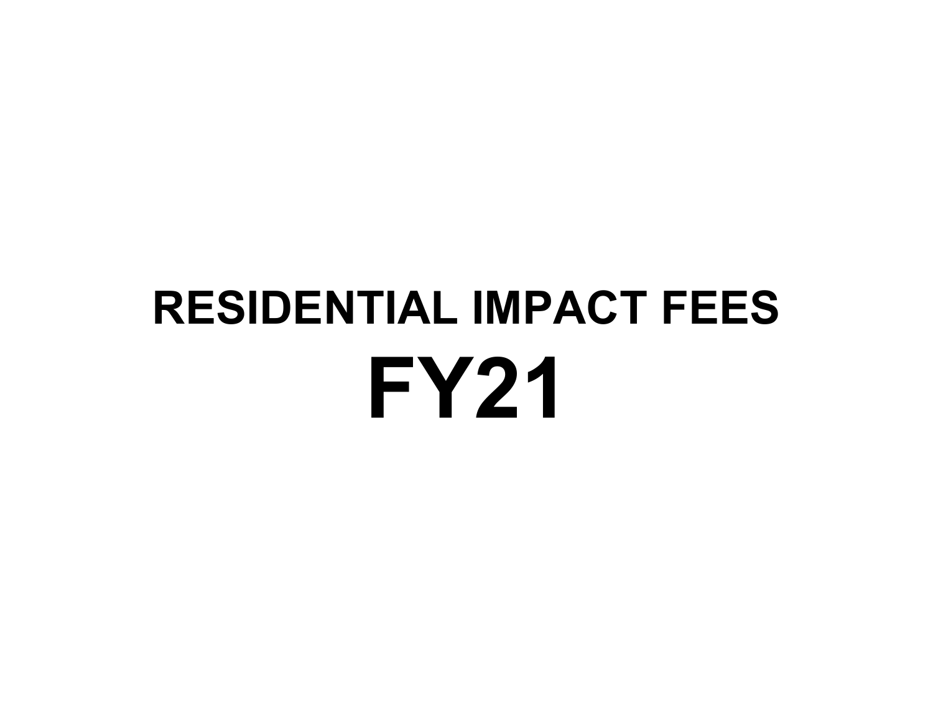# **FY21 RESIDENTIAL IMPACT FEES**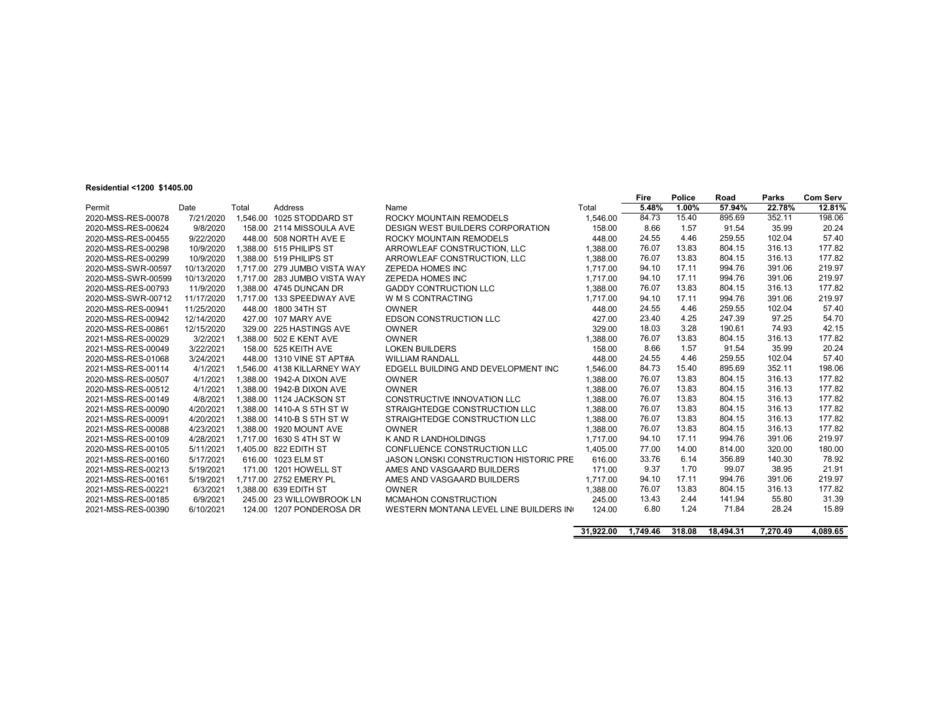#### **Residential <1200 \$1405.00**

|                    |            |          |                              |                                               |          | <b>Fire</b> | Police | Road   | <b>Parks</b> | <b>Com Serv</b> |
|--------------------|------------|----------|------------------------------|-----------------------------------------------|----------|-------------|--------|--------|--------------|-----------------|
| Permit             | Date       | Total    | Address                      | Name                                          | Total    | 5.48%       | 1.00%  | 57.94% | 22.78%       | 12.81%          |
| 2020-MSS-RES-00078 | 7/21/2020  | 1.546.00 | 1025 STODDARD ST             | ROCKY MOUNTAIN REMODELS                       | 1,546.00 | 84.73       | 15.40  | 895.69 | 352.11       | 198.06          |
| 2020-MSS-RES-00624 | 9/8/2020   |          | 158.00 2114 MISSOULA AVE     | <b>DESIGN WEST BUILDERS CORPORATION</b>       | 158.00   | 8.66        | 1.57   | 91.54  | 35.99        | 20.24           |
| 2020-MSS-RES-00455 | 9/22/2020  | 448.00   | 508 NORTH AVE E              | ROCKY MOUNTAIN REMODELS                       | 448.00   | 24.55       | 4.46   | 259.55 | 102.04       | 57.40           |
| 2020-MSS-RES-00298 | 10/9/2020  |          | 1.388.00 515 PHILIPS ST      | ARROWLEAF CONSTRUCTION, LLC                   | 1.388.00 | 76.07       | 13.83  | 804.15 | 316.13       | 177.82          |
| 2020-MSS-RES-00299 | 10/9/2020  |          | 1.388.00 519 PHILIPS ST      | ARROWLEAF CONSTRUCTION, LLC                   | 1.388.00 | 76.07       | 13.83  | 804.15 | 316.13       | 177.82          |
| 2020-MSS-SWR-00597 | 10/13/2020 |          | 1.717.00 279 JUMBO VISTA WAY | <b>ZEPEDA HOMES INC</b>                       | 1.717.00 | 94.10       | 17.11  | 994.76 | 391.06       | 219.97          |
| 2020-MSS-SWR-00599 | 10/13/2020 | 1.717.00 | 283 JUMBO VISTA WAY          | <b>ZEPEDA HOMES INC</b>                       | 1.717.00 | 94.10       | 17.11  | 994.76 | 391.06       | 219.97          |
| 2020-MSS-RES-00793 | 11/9/2020  |          | 1.388.00 4745 DUNCAN DR      | <b>GADDY CONTRUCTION LLC</b>                  | 1.388.00 | 76.07       | 13.83  | 804.15 | 316.13       | 177.82          |
| 2020-MSS-SWR-00712 | 11/17/2020 | 1.717.00 | 133 SPEEDWAY AVE             | W M S CONTRACTING                             | 1.717.00 | 94.10       | 17.11  | 994.76 | 391.06       | 219.97          |
| 2020-MSS-RES-00941 | 11/25/2020 | 448.00   | 1800 34TH ST                 | <b>OWNER</b>                                  | 448.00   | 24.55       | 4.46   | 259.55 | 102.04       | 57.40           |
| 2020-MSS-RES-00942 | 12/14/2020 | 427.00   | 107 MARY AVE                 | <b>EDSON CONSTRUCTION LLC</b>                 | 427.00   | 23.40       | 4.25   | 247.39 | 97.25        | 54.70           |
| 2020-MSS-RES-00861 | 12/15/2020 |          | 329.00 225 HASTINGS AVE      | OWNER                                         | 329.00   | 18.03       | 3.28   | 190.61 | 74.93        | 42.15           |
| 2021-MSS-RES-00029 | 3/2/2021   |          | 1.388.00 502 E KENT AVE      | <b>OWNER</b>                                  | 1.388.00 | 76.07       | 13.83  | 804.15 | 316.13       | 177.82          |
| 2021-MSS-RES-00049 | 3/22/2021  | 158.00   | 525 KEITH AVE                | <b>LOKEN BUILDERS</b>                         | 158.00   | 8.66        | 1.57   | 91.54  | 35.99        | 20.24           |
| 2020-MSS-RES-01068 | 3/24/2021  | 448.00   | 1310 VINE ST APT#A           | <b>WILLIAM RANDALL</b>                        | 448.00   | 24.55       | 4.46   | 259.55 | 102.04       | 57.40           |
| 2021-MSS-RES-00114 | 4/1/2021   | 1.546.00 | 4138 KILLARNEY WAY           | EDGELL BUILDING AND DEVELOPMENT INC           | 1.546.00 | 84.73       | 15.40  | 895.69 | 352.11       | 198.06          |
| 2020-MSS-RES-00507 | 4/1/2021   | 1.388.00 | 1942-A DIXON AVE             | <b>OWNER</b>                                  | 1.388.00 | 76.07       | 13.83  | 804.15 | 316.13       | 177.82          |
| 2020-MSS-RES-00512 | 4/1/2021   | 1.388.00 | 1942-B DIXON AVE             | OWNER                                         | 1.388.00 | 76.07       | 13.83  | 804.15 | 316.13       | 177.82          |
| 2021-MSS-RES-00149 | 4/8/2021   | 1.388.00 | 1124 JACKSON ST              | CONSTRUCTIVE INNOVATION LLC                   | 1.388.00 | 76.07       | 13.83  | 804.15 | 316.13       | 177.82          |
| 2021-MSS-RES-00090 | 4/20/2021  | 1.388.00 | 1410-A S 5TH ST W            | STRAIGHTEDGE CONSTRUCTION LLC                 | 1.388.00 | 76.07       | 13.83  | 804.15 | 316.13       | 177.82          |
| 2021-MSS-RES-00091 | 4/20/2021  | 1.388.00 | 1410-B S 5TH ST W            | STRAIGHTEDGE CONSTRUCTION LLC                 | 1.388.00 | 76.07       | 13.83  | 804.15 | 316.13       | 177.82          |
| 2021-MSS-RES-00088 | 4/23/2021  | 1.388.00 | 1920 MOUNT AVE               | OWNER                                         | 1.388.00 | 76.07       | 13.83  | 804.15 | 316.13       | 177.82          |
| 2021-MSS-RES-00109 | 4/28/2021  | 1.717.00 | 1630 S 4TH ST W              | K AND R LANDHOLDINGS                          | 1.717.00 | 94.10       | 17.11  | 994.76 | 391.06       | 219.97          |
| 2020-MSS-RES-00105 | 5/11/2021  |          | 1.405.00 822 EDITH ST        | CONFLUENCE CONSTRUCTION LLC                   | 1.405.00 | 77.00       | 14.00  | 814.00 | 320.00       | 180.00          |
| 2021-MSS-RES-00160 | 5/17/2021  |          | 616.00 1023 ELM ST           | <b>JASON LONSKI CONSTRUCTION HISTORIC PRE</b> | 616.00   | 33.76       | 6.14   | 356.89 | 140.30       | 78.92           |
| 2021-MSS-RES-00213 | 5/19/2021  |          | 171.00 1201 HOWELL ST        | AMES AND VASGAARD BUILDERS                    | 171.00   | 9.37        | 1.70   | 99.07  | 38.95        | 21.91           |
| 2021-MSS-RES-00161 | 5/19/2021  |          | 1.717.00 2752 EMERY PL       | AMES AND VASGAARD BUILDERS                    | 1.717.00 | 94.10       | 17.11  | 994.76 | 391.06       | 219.97          |
| 2021-MSS-RES-00221 | 6/3/2021   |          | 1.388.00 639 EDITH ST        | OWNER                                         | .388.00  | 76.07       | 13.83  | 804.15 | 316.13       | 177.82          |
| 2021-MSS-RES-00185 | 6/9/2021   |          | 245.00 23 WILLOWBROOK LN     | <b>MCMAHON CONSTRUCTION</b>                   | 245.00   | 13.43       | 2.44   | 141.94 | 55.80        | 31.39           |
| 2021-MSS-RES-00390 | 6/10/2021  | 124.00   | 1207 PONDEROSA DR            | WESTERN MONTANA LEVEL LINE BUILDERS IN        | 124.00   | 6.80        | 1.24   | 71.84  | 28.24        | 15.89           |

|  | 31,922.00 1,749.46 318.08 18,494.31 | 7,270.49 | 4,089.65 |
|--|-------------------------------------|----------|----------|
|  |                                     |          |          |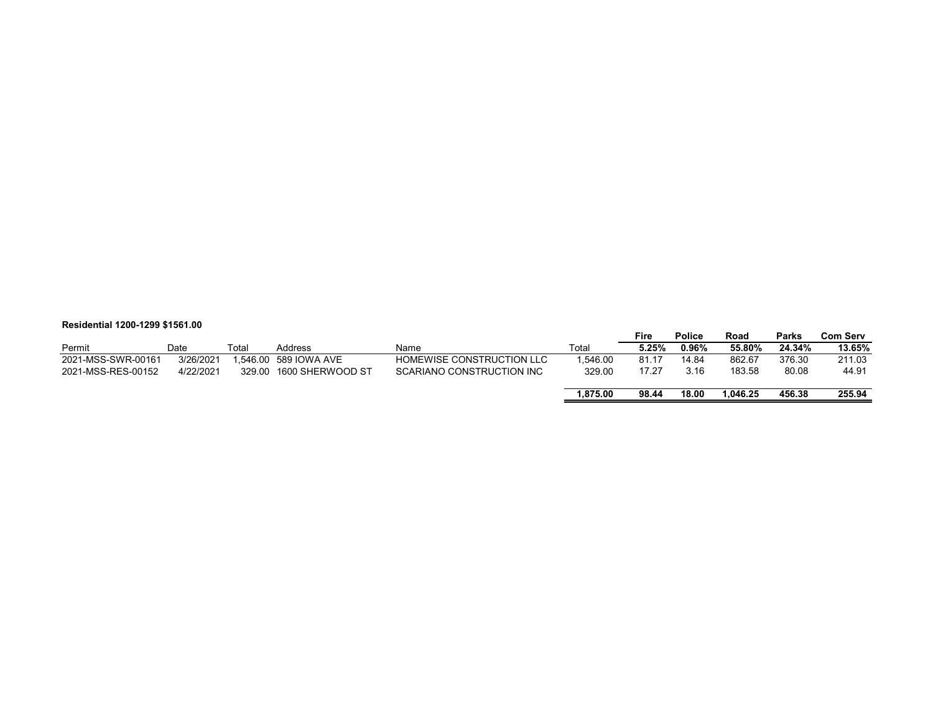#### **Residential 1200-1299 \$1561.00**

|                    |           |        |                       |                           |          | Fire  | Police | Road     | Parks  | <b>Com Serv</b> |
|--------------------|-----------|--------|-----------------------|---------------------------|----------|-------|--------|----------|--------|-----------------|
| Permit             | Date      | Total  | Address               | Name                      | Total    | 5.25% | 0.96%  | 55.80%   | 24.34% | 13.65%          |
| 2021-MSS-SWR-00161 | 3/26/2021 |        | 1.546.00 589 IOWA AVE | HOMEWISE CONSTRUCTION LLC | 1.546.00 | 81.17 | 14.84  | 862.67   | 376.30 | 211.03          |
| 2021-MSS-RES-00152 | 4/22/2021 | 329.00 | 1600 SHERWOOD ST      | SCARIANO CONSTRUCTION INC | 329.00   | 17.27 | 3.16   | 183.58   | 80.08  | 44.91           |
|                    |           |        |                       |                           | 1.875.00 | 98.44 | 18.00  | 1.046.25 | 456.38 | 255.94          |
|                    |           |        |                       |                           |          |       |        |          |        |                 |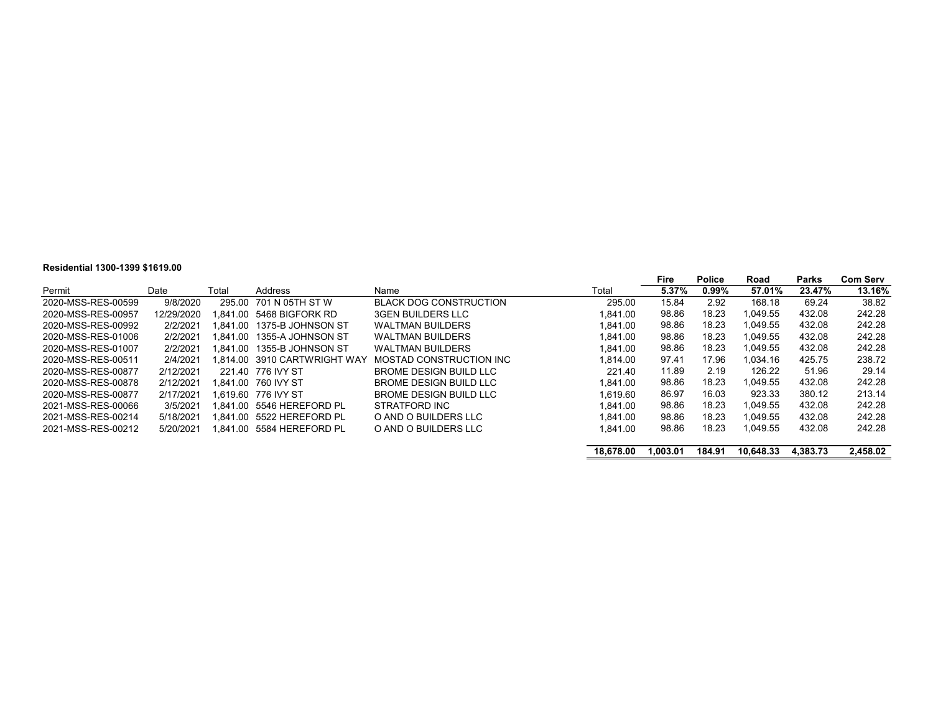#### **Residential 1300-1399 \$1619.00**

|                    |            |       |                              |                               |           | Fire     | <b>Police</b> | Road      | Parks    | <b>Com Serv</b> |
|--------------------|------------|-------|------------------------------|-------------------------------|-----------|----------|---------------|-----------|----------|-----------------|
| Permit             | Date       | Total | Address                      | Name                          | Total     | 5.37%    | $0.99\%$      | 57.01%    | 23.47%   | 13.16%          |
| 2020-MSS-RES-00599 | 9/8/2020   |       | 295.00 701 N 05TH ST W       | <b>BLACK DOG CONSTRUCTION</b> | 295.00    | 15.84    | 2.92          | 168.18    | 69.24    | 38.82           |
| 2020-MSS-RES-00957 | 12/29/2020 |       | 1.841.00 5468 BIGFORK RD     | <b>3GEN BUILDERS LLC</b>      | 1.841.00  | 98.86    | 18.23         | 1.049.55  | 432.08   | 242.28          |
| 2020-MSS-RES-00992 | 2/2/2021   |       | 1.841.00   1375-B JOHNSON ST | <b>WALTMAN BUILDERS</b>       | 1.841.00  | 98.86    | 18.23         | 1.049.55  | 432.08   | 242.28          |
| 2020-MSS-RES-01006 | 2/2/2021   |       |                              | <b>WALTMAN BUILDERS</b>       | 1.841.00  | 98.86    | 18.23         | 1.049.55  | 432.08   | 242.28          |
| 2020-MSS-RES-01007 | 2/2/2021   |       |                              | <b>WALTMAN BUILDERS</b>       | 1.841.00  | 98.86    | 18.23         | 1.049.55  | 432.08   | 242.28          |
| 2020-MSS-RES-00511 | 2/4/2021   |       | 1.814.00 3910 CARTWRIGHT WAY | MOSTAD CONSTRUCTION INC       | 1.814.00  | 97.41    | 17.96         | 1.034.16  | 425.75   | 238.72          |
| 2020-MSS-RES-00877 | 2/12/2021  |       | 221.40 776 IVY ST            | BROME DESIGN BUILD LLC        | 221.40    | 11.89    | 2.19          | 126.22    | 51.96    | 29.14           |
| 2020-MSS-RES-00878 | 2/12/2021  |       | 1.841.00 760 IVY ST          | BROME DESIGN BUILD LLC        | 1.841.00  | 98.86    | 18.23         | 1.049.55  | 432.08   | 242.28          |
| 2020-MSS-RES-00877 | 2/17/2021  |       | 1.619.60 776 IVY ST          | <b>BROME DESIGN BUILD LLC</b> | 1.619.60  | 86.97    | 16.03         | 923.33    | 380.12   | 213.14          |
| 2021-MSS-RES-00066 | 3/5/2021   |       | 1.841.00 5546 HEREFORD PL    | STRATFORD INC                 | 1.841.00  | 98.86    | 18.23         | 1.049.55  | 432.08   | 242.28          |
| 2021-MSS-RES-00214 | 5/18/2021  |       | 1.841.00 5522 HEREFORD PL    | O AND O BUILDERS LLC          | 1.841.00  | 98.86    | 18.23         | 1.049.55  | 432.08   | 242.28          |
| 2021-MSS-RES-00212 | 5/20/2021  |       | 1.841.00 5584 HEREFORD PL    | O AND O BUILDERS LLC          | 1.841.00  | 98.86    | 18.23         | 1.049.55  | 432.08   | 242.28          |
|                    |            |       |                              |                               | 18.678.00 | 1.003.01 | 184.91        | 10.648.33 | 4.383.73 | 2.458.02        |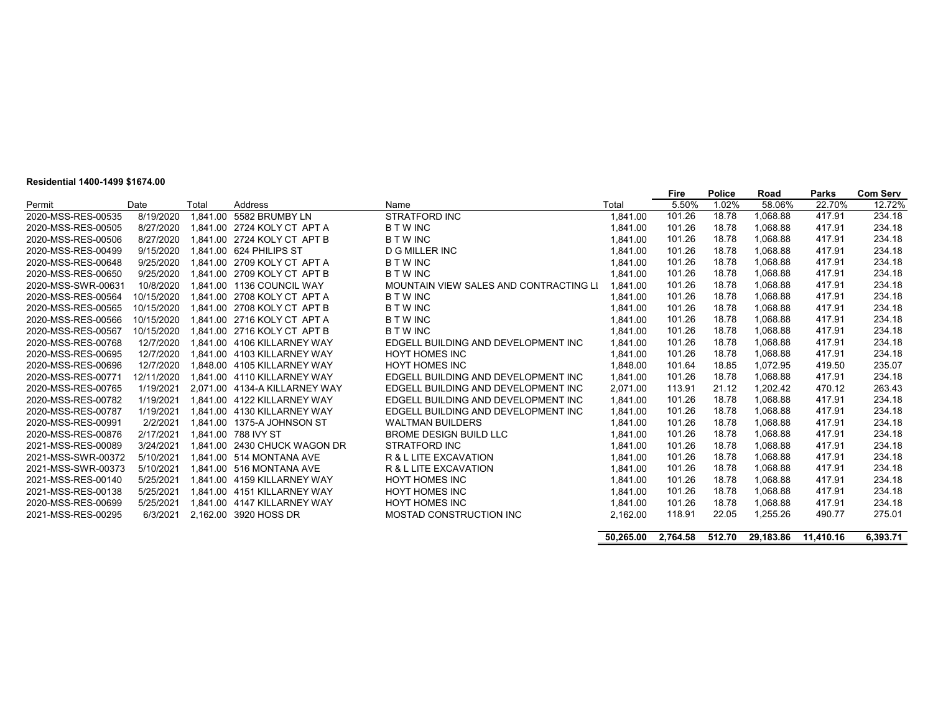#### **Residential 1400-1499 \$1674.00**

|                    |            |          |                                   |                                        |           | Fire     | <b>Police</b> | Road      | <b>Parks</b> | <b>Com Serv</b> |
|--------------------|------------|----------|-----------------------------------|----------------------------------------|-----------|----------|---------------|-----------|--------------|-----------------|
| Permit             | Date       | Total    | Address                           | Name                                   | Total     | 5.50%    | 1.02%         | 58.06%    | 22.70%       | 12.72%          |
| 2020-MSS-RES-00535 | 8/19/2020  | 1.841.00 | 5582 BRUMBY LN                    | <b>STRATFORD INC</b>                   | 1,841.00  | 101.26   | 18.78         | 1.068.88  | 417.91       | 234.18          |
| 2020-MSS-RES-00505 | 8/27/2020  |          | 1.841.00 2724 KOLY CT APT A       | <b>BTWINC</b>                          | 1.841.00  | 101.26   | 18.78         | 1.068.88  | 417.91       | 234.18          |
| 2020-MSS-RES-00506 | 8/27/2020  |          | 1.841.00 2724 KOLY CT APT B       | <b>BTWINC</b>                          | 1.841.00  | 101.26   | 18.78         | 1.068.88  | 417.91       | 234.18          |
| 2020-MSS-RES-00499 | 9/15/2020  |          | 1.841.00 624 PHILIPS ST           | D G MILLER INC                         | 1.841.00  | 101.26   | 18.78         | 1,068.88  | 417.91       | 234.18          |
| 2020-MSS-RES-00648 | 9/25/2020  |          | 1.841.00 2709 KOLY CT APT A       | <b>BTWINC</b>                          | 1.841.00  | 101.26   | 18.78         | 1.068.88  | 417.91       | 234.18          |
| 2020-MSS-RES-00650 | 9/25/2020  |          | 1.841.00 2709 KOLY CT APT B       | <b>BTWINC</b>                          | 1.841.00  | 101.26   | 18.78         | 1,068.88  | 417.91       | 234.18          |
| 2020-MSS-SWR-00631 | 10/8/2020  |          | 1.841.00 1136 COUNCIL WAY         | MOUNTAIN VIEW SALES AND CONTRACTING LI | 1.841.00  | 101.26   | 18.78         | 1.068.88  | 417.91       | 234.18          |
| 2020-MSS-RES-00564 | 10/15/2020 |          | 1.841.00 2708 KOLY CT APT A       | <b>BTWINC</b>                          | 1.841.00  | 101.26   | 18.78         | 1,068.88  | 417.91       | 234.18          |
| 2020-MSS-RES-00565 | 10/15/2020 |          | 1.841.00 2708 KOLY CT APT B       | <b>BTWINC</b>                          | 1,841.00  | 101.26   | 18.78         | 1.068.88  | 417.91       | 234.18          |
| 2020-MSS-RES-00566 | 10/15/2020 |          | 1.841.00 2716 KOLY CT APT A       | <b>BTWINC</b>                          | 1.841.00  | 101.26   | 18.78         | 1.068.88  | 417.91       | 234.18          |
| 2020-MSS-RES-00567 | 10/15/2020 |          | 1.841.00 2716 KOLY CT APT B       | <b>BTWINC</b>                          | 1.841.00  | 101.26   | 18.78         | 1.068.88  | 417.91       | 234.18          |
| 2020-MSS-RES-00768 | 12/7/2020  |          | 1.841.00 4106 KILLARNEY WAY       | EDGELL BUILDING AND DEVELOPMENT INC    | 1.841.00  | 101.26   | 18.78         | 1.068.88  | 417.91       | 234.18          |
| 2020-MSS-RES-00695 | 12/7/2020  |          | 1.841.00    4103    KILLARNEY WAY | <b>HOYT HOMES INC</b>                  | 1.841.00  | 101.26   | 18.78         | 1.068.88  | 417.91       | 234.18          |
| 2020-MSS-RES-00696 | 12/7/2020  |          | 1.848.00 4105 KILLARNEY WAY       | <b>HOYT HOMES INC</b>                  | 1,848.00  | 101.64   | 18.85         | 1.072.95  | 419.50       | 235.07          |
| 2020-MSS-RES-00771 | 12/11/2020 |          | 1.841.00 4110 KILLARNEY WAY       | EDGELL BUILDING AND DEVELOPMENT INC    | 1.841.00  | 101.26   | 18.78         | 1.068.88  | 417.91       | 234.18          |
| 2020-MSS-RES-00765 | 1/19/2021  |          | 2.071.00 4134-A KILLARNEY WAY     | EDGELL BUILDING AND DEVELOPMENT INC    | 2.071.00  | 113.91   | 21.12         | 1.202.42  | 470.12       | 263.43          |
| 2020-MSS-RES-00782 | 1/19/2021  |          | 1.841.00 4122 KILLARNEY WAY       | EDGELL BUILDING AND DEVELOPMENT INC    | 1.841.00  | 101.26   | 18.78         | 1.068.88  | 417.91       | 234.18          |
| 2020-MSS-RES-00787 | 1/19/2021  |          | 1.841.00 4130 KILLARNEY WAY       | EDGELL BUILDING AND DEVELOPMENT INC    | 1.841.00  | 101.26   | 18.78         | 1.068.88  | 417.91       | 234.18          |
| 2020-MSS-RES-00991 | 2/2/2021   |          | 1.841.00 1375-A JOHNSON ST        | <b>WALTMAN BUILDERS</b>                | 1.841.00  | 101.26   | 18.78         | 1,068.88  | 417.91       | 234.18          |
| 2020-MSS-RES-00876 | 2/17/2021  |          | 1.841.00 788 IVY ST               | BROME DESIGN BUILD LLC                 | 1.841.00  | 101.26   | 18.78         | 1.068.88  | 417.91       | 234.18          |
| 2021-MSS-RES-00089 | 3/24/2021  |          | 1.841.00 2430 CHUCK WAGON DR      | <b>STRATFORD INC</b>                   | 1.841.00  | 101.26   | 18.78         | 1,068.88  | 417.91       | 234.18          |
| 2021-MSS-SWR-00372 | 5/10/2021  |          | 1.841.00 514 MONTANA AVE          | R & L LITE EXCAVATION                  | 1,841.00  | 101.26   | 18.78         | 1.068.88  | 417.91       | 234.18          |
| 2021-MSS-SWR-00373 | 5/10/2021  |          | 1.841.00 516 MONTANA AVE          | R & L LITE EXCAVATION                  | 1.841.00  | 101.26   | 18.78         | 1.068.88  | 417.91       | 234.18          |
| 2021-MSS-RES-00140 | 5/25/2021  |          | 1.841.00 4159 KILLARNEY WAY       | <b>HOYT HOMES INC</b>                  | 1.841.00  | 101.26   | 18.78         | 1.068.88  | 417.91       | 234.18          |
| 2021-MSS-RES-00138 | 5/25/2021  |          | 1.841.00  4151  KILLARNEY WAY     | <b>HOYT HOMES INC</b>                  | 1.841.00  | 101.26   | 18.78         | 1.068.88  | 417.91       | 234.18          |
| 2020-MSS-RES-00699 | 5/25/2021  |          | 1.841.00 4147 KILLARNEY WAY       | <b>HOYT HOMES INC</b>                  | 1.841.00  | 101.26   | 18.78         | 1,068.88  | 417.91       | 234.18          |
| 2021-MSS-RES-00295 | 6/3/2021   |          | 2,162.00 3920 HOSS DR             | MOSTAD CONSTRUCTION INC                | 2,162.00  | 118.91   | 22.05         | 1.255.26  | 490.77       | 275.01          |
|                    |            |          |                                   |                                        |           |          |               |           |              |                 |
|                    |            |          |                                   |                                        | 50,265.00 | 2.764.58 | 512.70        | 29.183.86 | 11.410.16    | 6,393.71        |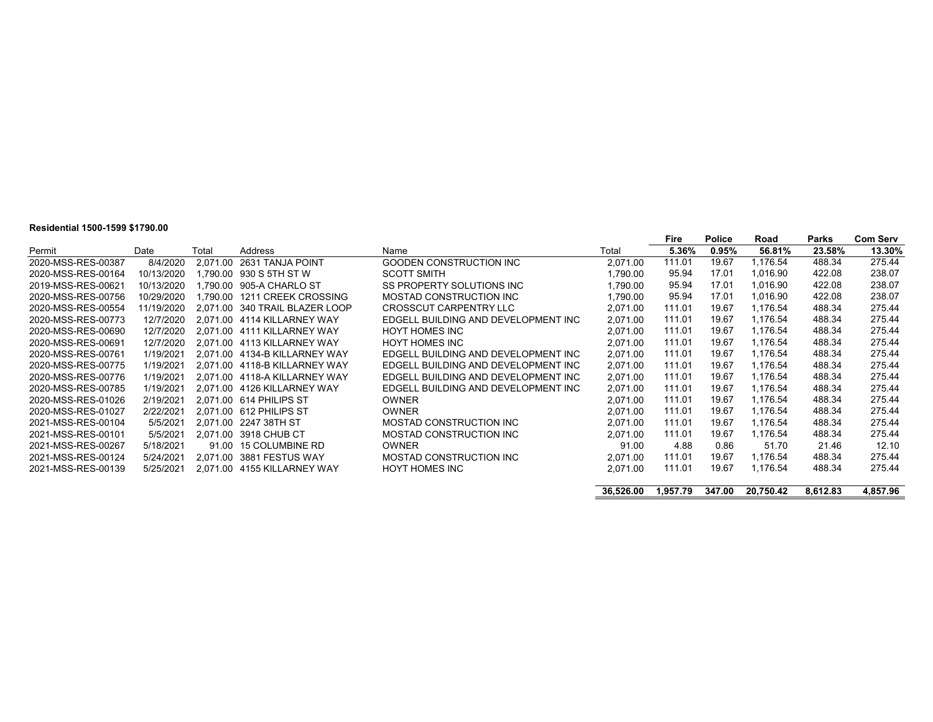# **Residential 1500-1599 \$1790.00**

|                    |            |       |                                |                                     |           | Fire     | <b>Police</b> | Road      | Parks    | <b>Com Serv</b> |
|--------------------|------------|-------|--------------------------------|-------------------------------------|-----------|----------|---------------|-----------|----------|-----------------|
| Permit             | Date       | Total | Address                        | Name                                | Total     | 5.36%    | 0.95%         | 56.81%    | 23.58%   | 13.30%          |
| 2020-MSS-RES-00387 | 8/4/2020   |       | 2.071.00 2631 TANJA POINT      | GOODEN CONSTRUCTION INC             | 2,071.00  | 111.01   | 19.67         | 1.176.54  | 488.34   | 275.44          |
| 2020-MSS-RES-00164 | 10/13/2020 |       | 1.790.00 930 S 5TH ST W        | <b>SCOTT SMITH</b>                  | 1.790.00  | 95.94    | 17.01         | 1,016.90  | 422.08   | 238.07          |
| 2019-MSS-RES-00621 | 10/13/2020 |       | 1.790.00 905-A CHARLO ST       | SS PROPERTY SOLUTIONS INC           | 1,790.00  | 95.94    | 17.01         | 1,016.90  | 422.08   | 238.07          |
| 2020-MSS-RES-00756 | 10/29/2020 |       | 1.790.00 1211 CREEK CROSSING   | MOSTAD CONSTRUCTION INC             | 1,790.00  | 95.94    | 17.01         | 1,016.90  | 422.08   | 238.07          |
| 2020-MSS-RES-00554 | 11/19/2020 |       | 2.071.00 340 TRAIL BLAZER LOOP | CROSSCUT CARPENTRY LLC              | 2,071.00  | 111.01   | 19.67         | 1,176.54  | 488.34   | 275.44          |
| 2020-MSS-RES-00773 | 12/7/2020  |       | 2.071.00 4114 KILLARNEY WAY    | EDGELL BUILDING AND DEVELOPMENT INC | 2,071.00  | 111.01   | 19.67         | 1,176.54  | 488.34   | 275.44          |
| 2020-MSS-RES-00690 | 12/7/2020  |       | 2.071.00 4111 KILLARNEY WAY    | <b>HOYT HOMES INC</b>               | 2,071.00  | 111.01   | 19.67         | 1,176.54  | 488.34   | 275.44          |
| 2020-MSS-RES-00691 | 12/7/2020  |       | 2.071.00 4113 KILLARNEY WAY    | <b>HOYT HOMES INC</b>               | 2,071.00  | 111.01   | 19.67         | 1,176.54  | 488.34   | 275.44          |
| 2020-MSS-RES-00761 | 1/19/2021  |       | 2.071.00 4134-B KILLARNEY WAY  | EDGELL BUILDING AND DEVELOPMENT INC | 2,071.00  | 111.01   | 19.67         | 1.176.54  | 488.34   | 275.44          |
| 2020-MSS-RES-00775 | 1/19/2021  |       | 2.071.00 4118-B KILLARNEY WAY  | EDGELL BUILDING AND DEVELOPMENT INC | 2,071.00  | 111.01   | 19.67         | 1,176.54  | 488.34   | 275.44          |
| 2020-MSS-RES-00776 | 1/19/2021  |       | 2.071.00 4118-A KILLARNEY WAY  | EDGELL BUILDING AND DEVELOPMENT INC | 2,071.00  | 111.01   | 19.67         | 1,176.54  | 488.34   | 275.44          |
| 2020-MSS-RES-00785 | 1/19/2021  |       | 2.071.00 4126 KILLARNEY WAY    | EDGELL BUILDING AND DEVELOPMENT INC | 2,071.00  | 111.01   | 19.67         | 1,176.54  | 488.34   | 275.44          |
| 2020-MSS-RES-01026 | 2/19/2021  |       | 2.071.00 614 PHILIPS ST        | <b>OWNER</b>                        | 2,071.00  | 111.01   | 19.67         | 1.176.54  | 488.34   | 275.44          |
| 2020-MSS-RES-01027 | 2/22/2021  |       | 2.071.00 612 PHILIPS ST        | <b>OWNER</b>                        | 2.071.00  | 111.01   | 19.67         | 1,176.54  | 488.34   | 275.44          |
| 2021-MSS-RES-00104 | 5/5/2021   |       | 2.071.00 2247 38TH ST          | MOSTAD CONSTRUCTION INC             | 2.071.00  | 111.01   | 19.67         | 1.176.54  | 488.34   | 275.44          |
| 2021-MSS-RES-00101 | 5/5/2021   |       | 2,071.00 3918 CHUB CT          | MOSTAD CONSTRUCTION INC             | 2,071.00  | 111.01   | 19.67         | 1,176.54  | 488.34   | 275.44          |
| 2021-MSS-RES-00267 | 5/18/2021  |       | 91.00 15 COLUMBINE RD          | <b>OWNER</b>                        | 91.00     | 4.88     | 0.86          | 51.70     | 21.46    | 12.10           |
| 2021-MSS-RES-00124 | 5/24/2021  |       | 2.071.00 3881 FESTUS WAY       | MOSTAD CONSTRUCTION INC             | 2,071.00  | 111.01   | 19.67         | 1,176.54  | 488.34   | 275.44          |
| 2021-MSS-RES-00139 | 5/25/2021  |       | 2.071.00 4155 KILLARNEY WAY    | <b>HOYT HOMES INC</b>               | 2,071.00  | 111.01   | 19.67         | 1,176.54  | 488.34   | 275.44          |
|                    |            |       |                                |                                     |           |          |               |           |          |                 |
|                    |            |       |                                |                                     | 36,526.00 | 1.957.79 | 347.00        | 20.750.42 | 8.612.83 | 4,857.96        |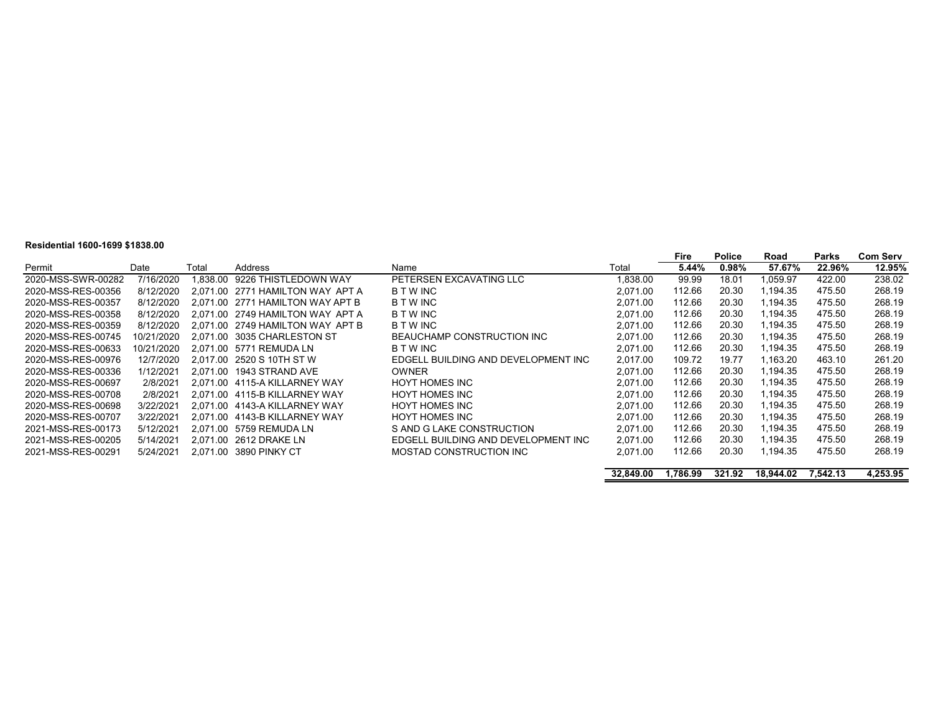#### **Residential 1600-1699 \$1838.00**

|                    |            |       |                                  |                                     |          | Fire   | <b>Police</b> | Road     | <b>Parks</b> | <b>Com Serv</b> |
|--------------------|------------|-------|----------------------------------|-------------------------------------|----------|--------|---------------|----------|--------------|-----------------|
| Permit             | Date       | Total | Address                          | Name                                | Total    | 5.44%  | $0.98\%$      | 57.67%   | 22.96%       | 12.95%          |
| 2020-MSS-SWR-00282 | 7/16/2020  |       | 1.838.00 9226 THISTLEDOWN WAY    | PETERSEN EXCAVATING LLC             | .838.00  | 99.99  | 18.01         | 1,059.97 | 422.00       | 238.02          |
| 2020-MSS-RES-00356 | 8/12/2020  |       | 2.071.00 2771 HAMILTON WAY APT A | <b>BTWINC</b>                       | 2.071.00 | 112.66 | 20.30         | 1,194.35 | 475.50       | 268.19          |
| 2020-MSS-RES-00357 | 8/12/2020  |       | 2.071.00 2771 HAMILTON WAY APT B | <b>B T W INC</b>                    | 2.071.00 | 112.66 | 20.30         | 1.194.35 | 475.50       | 268.19          |
| 2020-MSS-RES-00358 | 8/12/2020  |       | 2.071.00 2749 HAMILTON WAY APT A | <b>B T W INC</b>                    | 2.071.00 | 112.66 | 20.30         | 1.194.35 | 475.50       | 268.19          |
| 2020-MSS-RES-00359 | 8/12/2020  |       | 2.071.00 2749 HAMILTON WAY APT B | <b>B T W INC</b>                    | 2.071.00 | 112.66 | 20.30         | 1.194.35 | 475.50       | 268.19          |
| 2020-MSS-RES-00745 | 10/21/2020 |       | 2.071.00 3035 CHARLESTON ST      | BEAUCHAMP CONSTRUCTION INC          | 2.071.00 | 112.66 | 20.30         | 1.194.35 | 475.50       | 268.19          |
| 2020-MSS-RES-00633 | 10/21/2020 |       | 2.071.00 5771 REMUDA LN          | <b>B T W INC</b>                    | 2.071.00 | 112.66 | 20.30         | 1.194.35 | 475.50       | 268.19          |
| 2020-MSS-RES-00976 | 12/7/2020  |       | 2.017.00 2520 S 10TH ST W        | EDGELL BUILDING AND DEVELOPMENT INC | 2.017.00 | 109.72 | 19.77         | 1.163.20 | 463.10       | 261.20          |
| 2020-MSS-RES-00336 | 1/12/2021  |       | 2.071.00 1943 STRAND AVE         | <b>OWNER</b>                        | 2.071.00 | 112.66 | 20.30         | 1.194.35 | 475.50       | 268.19          |
| 2020-MSS-RES-00697 | 2/8/2021   |       | 2.071.00 4115-A KILLARNEY WAY    | <b>HOYT HOMES INC</b>               | 2.071.00 | 112.66 | 20.30         | 1.194.35 | 475.50       | 268.19          |
| 2020-MSS-RES-00708 | 2/8/2021   |       | 2.071.00 4115-B KILLARNEY WAY    | <b>HOYT HOMES INC</b>               | 2.071.00 | 112.66 | 20.30         | 1.194.35 | 475.50       | 268.19          |
| 2020-MSS-RES-00698 | 3/22/2021  |       | 2.071.00 4143-A KILLARNEY WAY    | <b>HOYT HOMES INC</b>               | 2.071.00 | 112.66 | 20.30         | 1,194.35 | 475.50       | 268.19          |
| 2020-MSS-RES-00707 | 3/22/2021  |       | 2.071.00 4143-B KILLARNEY WAY    | <b>HOYT HOMES INC</b>               | 2.071.00 | 112.66 | 20.30         | 1.194.35 | 475.50       | 268.19          |
| 2021-MSS-RES-00173 | 5/12/2021  |       | 2.071.00 5759 REMUDA LN          | S AND G LAKE CONSTRUCTION           | 2.071.00 | 112.66 | 20.30         | 1.194.35 | 475.50       | 268.19          |
| 2021-MSS-RES-00205 | 5/14/2021  |       | 2.071.00 2612 DRAKE LN           | EDGELL BUILDING AND DEVELOPMENT INC | 2.071.00 | 112.66 | 20.30         | 1,194.35 | 475.50       | 268.19          |
| 2021-MSS-RES-00291 | 5/24/2021  |       | 2.071.00 3890 PINKY CT           | MOSTAD CONSTRUCTION INC             | 2.071.00 | 112.66 | 20.30         | 1.194.35 | 475.50       | 268.19          |
|                    |            |       |                                  |                                     |          |        |               |          |              |                 |

| 32,849.00 | 1,786.99 | 321.92 | 18,944.02 7,542.13 | 4,253.95 |
|-----------|----------|--------|--------------------|----------|
|           |          |        |                    |          |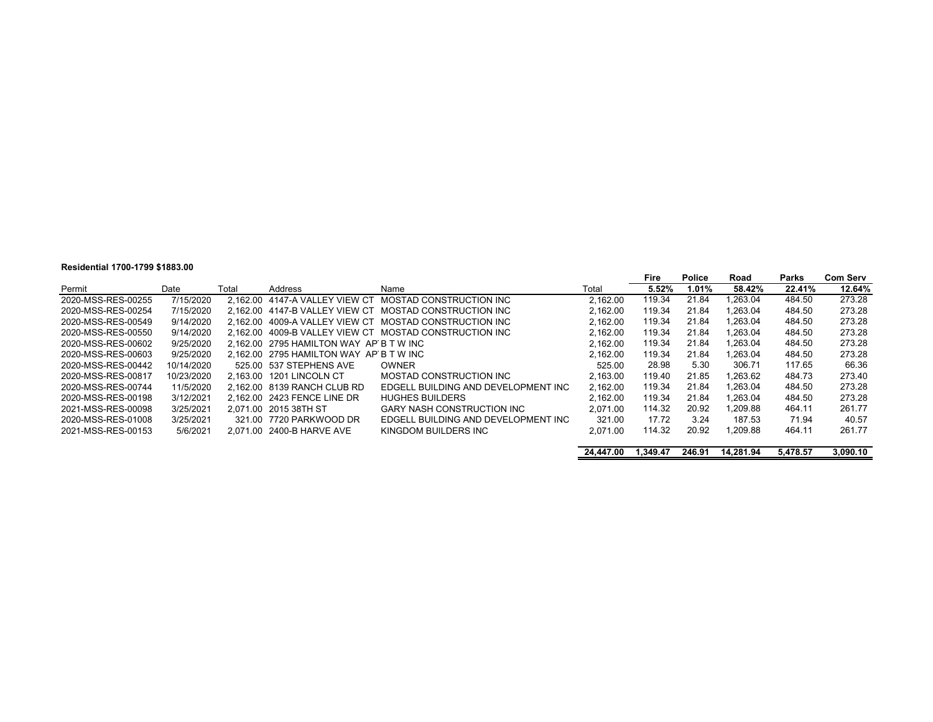#### **Residential 1700-1799 \$1883.00**

|                    | <b>Residential 1700-1733 31003.00</b> |       |                                         |                                                        |          |        |               |         |        |                 |
|--------------------|---------------------------------------|-------|-----------------------------------------|--------------------------------------------------------|----------|--------|---------------|---------|--------|-----------------|
|                    |                                       |       |                                         |                                                        |          | Fire   | <b>Police</b> | Road    | Parks  | <b>Com Serv</b> |
| Permit             | Date                                  | Total | Address                                 | Name                                                   | Total    | 5.52%  | $1.01\%$      | 58.42%  | 22.41% | 12.64%          |
| 2020-MSS-RES-00255 | 7/15/2020                             |       |                                         | 2.162.00 4147-A VALLEY VIEW CT MOSTAD CONSTRUCTION INC | 2.162.00 | 119.34 | 21.84         | .263.04 | 484.50 | 273.28          |
| 2020-MSS-RES-00254 | 7/15/2020                             |       |                                         | 2.162.00 4147-B VALLEY VIEW CT MOSTAD CONSTRUCTION INC | 2.162.00 | 119.34 | 21.84         | .263.04 | 484.50 | 273.28          |
| 2020-MSS-RES-00549 | 9/14/2020                             |       |                                         | 2.162.00 4009-A VALLEY VIEW CT MOSTAD CONSTRUCTION INC | 2.162.00 | 119.34 | 21.84         | .263.04 | 484.50 | 273.28          |
| 2020-MSS-RES-00550 | 9/14/2020                             |       |                                         | 2,162.00 4009-B VALLEY VIEW CT MOSTAD CONSTRUCTION INC | 2.162.00 | 119.34 | 21.84         | .263.04 | 484.50 | 273.28          |
| 2020-MSS-RES-00602 | 9/25/2020                             |       | 2.162.00 2795 HAMILTON WAY AP B T W INC |                                                        | 2.162.00 | 119.34 | 21.84         | .263.04 | 484.50 | 273.28          |
| 2020-MSS-RES-00603 | 9/25/2020                             |       | 2.162.00 2795 HAMILTON WAY AP B T W INC |                                                        | 2.162.00 | 119.34 | 21.84         | .263.04 | 484.50 | 273.28          |
| 2020-MSS-RES-00442 | 10/14/2020                            |       | 525.00 537 STEPHENS AVE                 | <b>OWNER</b>                                           | 525.00   | 28.98  | 5.30          | 306.71  | 117.65 | 66.36           |
| 2020-MSS-RES-00817 | 10/23/2020                            |       | 2.163.00 1201 LINCOLN CT                | MOSTAD CONSTRUCTION INC                                | 2.163.00 | 119.40 | 21.85         | .263.62 | 484.73 | 273.40          |
| 2020-MSS-RES-00744 | 11/5/2020                             |       | 2.162.00 8139 RANCH CLUB RD             | EDGELL BUILDING AND DEVELOPMENT INC                    | 2.162.00 | 119.34 | 21.84         | .263.04 | 484.50 | 273.28          |
| 2020-MSS-RES-00198 | 3/12/2021                             |       | 2.162.00 2423 FENCE LINE DR             | <b>HUGHES BUILDERS</b>                                 | 2.162.00 | 119.34 | 21.84         | .263.04 | 484.50 | 273.28          |
| 2021-MSS-RES-00098 | 3/25/2021                             |       | 2.071.00 2015 38TH ST                   | <b>GARY NASH CONSTRUCTION INC</b>                      | 2.071.00 | 114.32 | 20.92         | .209.88 | 464.11 | 261.77          |
| 2020-MSS-RES-01008 | 3/25/2021                             |       | 321.00 7720 PARKWOOD DR                 | EDGELL BUILDING AND DEVELOPMENT INC                    | 321.00   | 17.72  | 3.24          | 187.53  | 71.94  | 40.57           |
| 2021-MSS-RES-00153 | 5/6/2021                              |       | 2.071.00 2400-B HARVE AVE               | KINGDOM BUILDERS INC                                   | 2.071.00 | 114.32 | 20.92         | .209.88 | 464.11 | 261.77          |
|                    |                                       |       |                                         |                                                        |          |        |               |         |        |                 |

|  | 24,447.00  1,349.47  246.91  14,281.94 | 5.478.57 | 3.090.10 |
|--|----------------------------------------|----------|----------|
|  |                                        |          |          |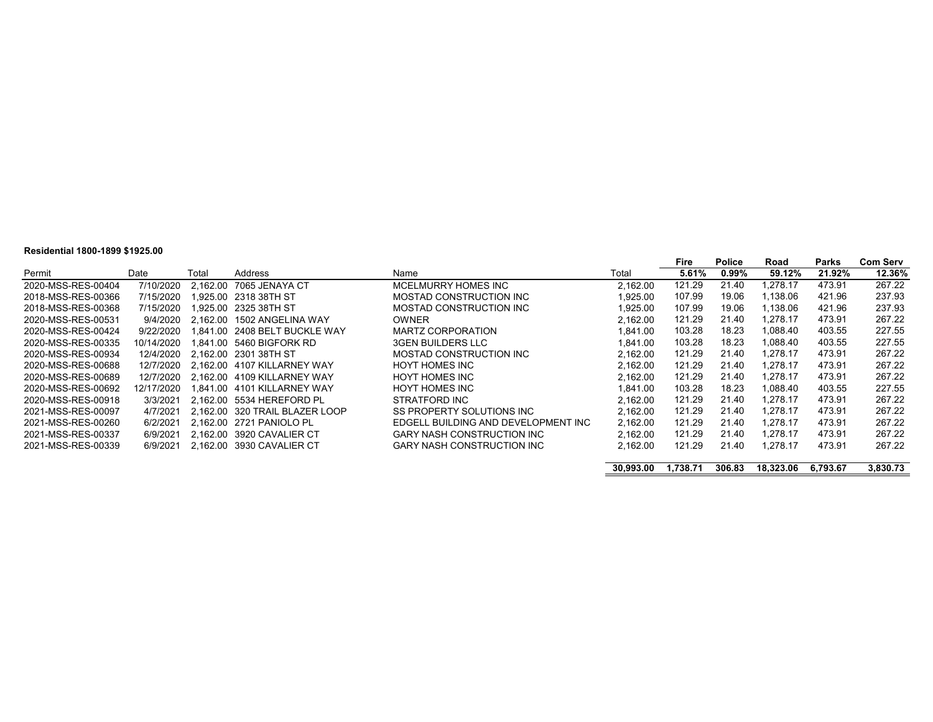#### **Residential 1800-1899 \$1925.00**

|                    |            |       |                                |                                     |          | Fire   | <b>Police</b> | Road     | Parks  | <b>Com Serv</b> |
|--------------------|------------|-------|--------------------------------|-------------------------------------|----------|--------|---------------|----------|--------|-----------------|
| Permit             | Date       | Total | Address                        | Name                                | Total    | 5.61%  | 0.99%         | 59.12%   | 21.92% | 12.36%          |
| 2020-MSS-RES-00404 | 7/10/2020  |       | 2.162.00 7065 JENAYA CT        | MCELMURRY HOMES INC                 | 2.162.00 | 121.29 | 21.40         | .278.17  | 473.91 | 267.22          |
| 2018-MSS-RES-00366 | 7/15/2020  |       | 1.925.00 2318 38TH ST          | MOSTAD CONSTRUCTION INC             | 1.925.00 | 107.99 | 19.06         | 1.138.06 | 421.96 | 237.93          |
| 2018-MSS-RES-00368 | 7/15/2020  |       | 1.925.00   2325 38TH ST        | MOSTAD CONSTRUCTION INC             | 1.925.00 | 107.99 | 19.06         | .138.06  | 421.96 | 237.93          |
| 2020-MSS-RES-00531 | 9/4/2020   |       | 2.162.00 1502 ANGELINA WAY     | <b>OWNER</b>                        | 2.162.00 | 121.29 | 21.40         | 1.278.17 | 473.91 | 267.22          |
| 2020-MSS-RES-00424 | 9/22/2020  |       | 1.841.00 2408 BELT BUCKLE WAY  | MARTZ CORPORATION                   | 1.841.00 | 103.28 | 18.23         | 1.088.40 | 403.55 | 227.55          |
| 2020-MSS-RES-00335 | 10/14/2020 |       | 1.841.00 5460 BIGFORK RD       | <b>3GEN BUILDERS LLC</b>            | 1.841.00 | 103.28 | 18.23         | .088.40  | 403.55 | 227.55          |
| 2020-MSS-RES-00934 | 12/4/2020  |       | 2.162.00 2301 38TH ST          | MOSTAD CONSTRUCTION INC             | 2.162.00 | 121.29 | 21.40         | .278.17  | 473.91 | 267.22          |
| 2020-MSS-RES-00688 | 12/7/2020  |       | 2.162.00 4107 KILLARNEY WAY    | HOYT HOMES INC                      | 2.162.00 | 121.29 | 21.40         | 1.278.17 | 473.91 | 267.22          |
| 2020-MSS-RES-00689 | 12/7/2020  |       | 2.162.00 4109 KILLARNEY WAY    | <b>HOYT HOMES INC</b>               | 2.162.00 | 121.29 | 21.40         | .278.17  | 473.91 | 267.22          |
| 2020-MSS-RES-00692 | 12/17/2020 |       | 1.841.00    4101 KILLARNEY WAY | <b>HOYT HOMES INC</b>               | 1.841.00 | 103.28 | 18.23         | .088.40  | 403.55 | 227.55          |
| 2020-MSS-RES-00918 | 3/3/2021   |       | 2.162.00 5534 HEREFORD PL      | STRATFORD INC                       | 2.162.00 | 121.29 | 21.40         | 1.278.17 | 473.91 | 267.22          |
| 2021-MSS-RES-00097 | 4/7/2021   |       | 2.162.00 320 TRAIL BLAZER LOOP | SS PROPERTY SOLUTIONS INC.          | 2.162.00 | 121.29 | 21.40         | 1.278.17 | 473.91 | 267.22          |
| 2021-MSS-RES-00260 | 6/2/2021   |       | 2.162.00 2721 PANIOLO PL       | EDGELL BUILDING AND DEVELOPMENT INC | 2.162.00 | 121.29 | 21.40         | 1.278.17 | 473.91 | 267.22          |
| 2021-MSS-RES-00337 | 6/9/2021   |       | 2.162.00 3920 CAVALIER CT      | <b>GARY NASH CONSTRUCTION INC</b>   | 2.162.00 | 121.29 | 21.40         | 1.278.17 | 473.91 | 267.22          |
| 2021-MSS-RES-00339 | 6/9/2021   |       | 2.162.00 3930 CAVALIER CT      | GARY NASH CONSTRUCTION INC          | 2.162.00 | 121.29 | 21.40         | 1.278.17 | 473.91 | 267.22          |
|                    |            |       |                                |                                     |          |        |               |          |        |                 |

**30,993.00 1,738.71 306.83 18,323.06 6,793.67 3,830.73**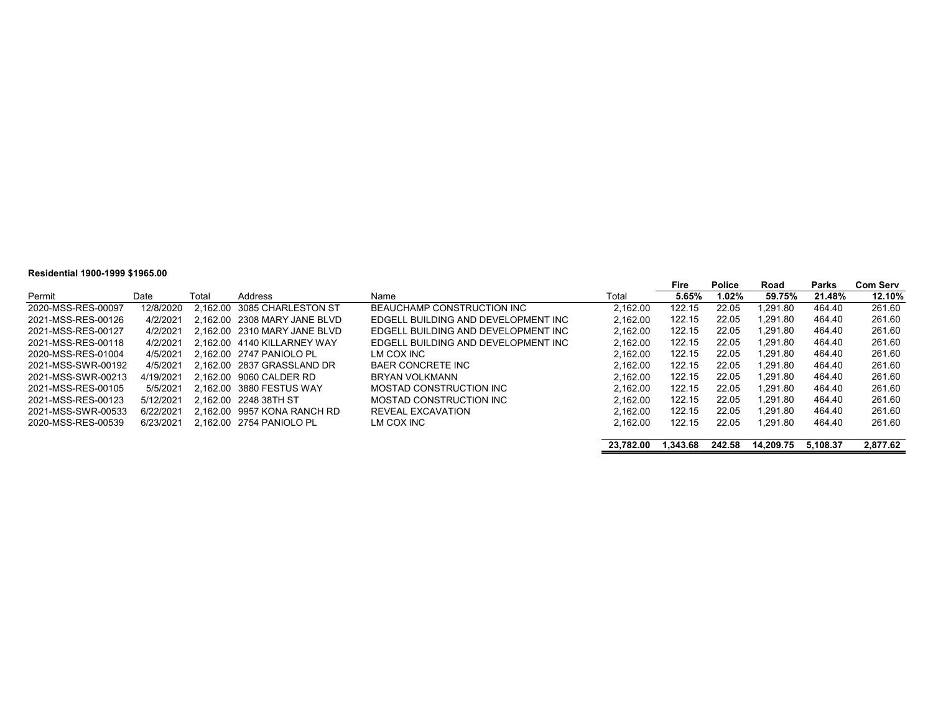#### **Residential 1900-1999 \$1965.00**

|                    |           |       |                              |                                     |           | Fire     | Police | Road      | Parks    | <b>Com Serv</b> |
|--------------------|-----------|-------|------------------------------|-------------------------------------|-----------|----------|--------|-----------|----------|-----------------|
| Permit             | Date      | Total | Address                      | Name                                | Total     | 5.65%    | 1.02%  | 59.75%    | 21.48%   | 12.10%          |
| 2020-MSS-RES-00097 | 12/8/2020 |       | 2.162.00 3085 CHARLESTON ST  | BEAUCHAMP CONSTRUCTION INC          | 2.162.00  | 122.15   | 22.05  | .291.80   | 464.40   | 261.60          |
| 2021-MSS-RES-00126 | 4/2/2021  |       | 2.162.00 2308 MARY JANE BLVD | EDGELL BUILDING AND DEVELOPMENT INC | 2.162.00  | 122.15   | 22.05  | .291.80   | 464.40   | 261.60          |
| 2021-MSS-RES-00127 | 4/2/2021  |       | 2.162.00 2310 MARY JANE BLVD | EDGELL BUILDING AND DEVELOPMENT INC | 2.162.00  | 122.15   | 22.05  | .291.80   | 464.40   | 261.60          |
| 2021-MSS-RES-00118 | 4/2/2021  |       | 2.162.00 4140 KILLARNEY WAY  | EDGELL BUILDING AND DEVELOPMENT INC | 2.162.00  | 122.15   | 22.05  | .291.80   | 464.40   | 261.60          |
| 2020-MSS-RES-01004 | 4/5/2021  |       | 2.162.00 2747 PANIOLO PL     | LM COX INC                          | 2.162.00  | 122.15   | 22.05  | .291.80   | 464.40   | 261.60          |
| 2021-MSS-SWR-00192 | 4/5/2021  |       | 2.162.00 2837 GRASSLAND DR   | <b>BAER CONCRETE INC</b>            | 2.162.00  | 122.15   | 22.05  | 1.291.80  | 464.40   | 261.60          |
| 2021-MSS-SWR-00213 | 4/19/2021 |       | 2.162.00 9060 CALDER RD      | BRYAN VOLKMANN                      | 2.162.00  | 122.15   | 22.05  | 1.291.80  | 464.40   | 261.60          |
| 2021-MSS-RES-00105 | 5/5/2021  |       | 2.162.00 3880 FESTUS WAY     | MOSTAD CONSTRUCTION INC             | 2.162.00  | 122.15   | 22.05  | .291.80   | 464.40   | 261.60          |
| 2021-MSS-RES-00123 | 5/12/2021 |       | 2.162.00 2248 38TH ST        | MOSTAD CONSTRUCTION INC             | 2.162.00  | 122.15   | 22.05  | .291.80   | 464.40   | 261.60          |
| 2021-MSS-SWR-00533 | 6/22/2021 |       | 2.162.00 9957 KONA RANCH RD  | REVEAL EXCAVATION                   | 2.162.00  | 122.15   | 22.05  | .291.80   | 464.40   | 261.60          |
| 2020-MSS-RES-00539 | 6/23/2021 |       | 2.162.00 2754 PANIOLO PL     | LM COX INC                          | 2.162.00  | 122.15   | 22.05  | .291.80   | 464.40   | 261.60          |
|                    |           |       |                              |                                     |           |          |        |           |          |                 |
|                    |           |       |                              |                                     | 23.782.00 | 1.343.68 | 242.58 | 14.209.75 | 5.108.37 | 2,877.62        |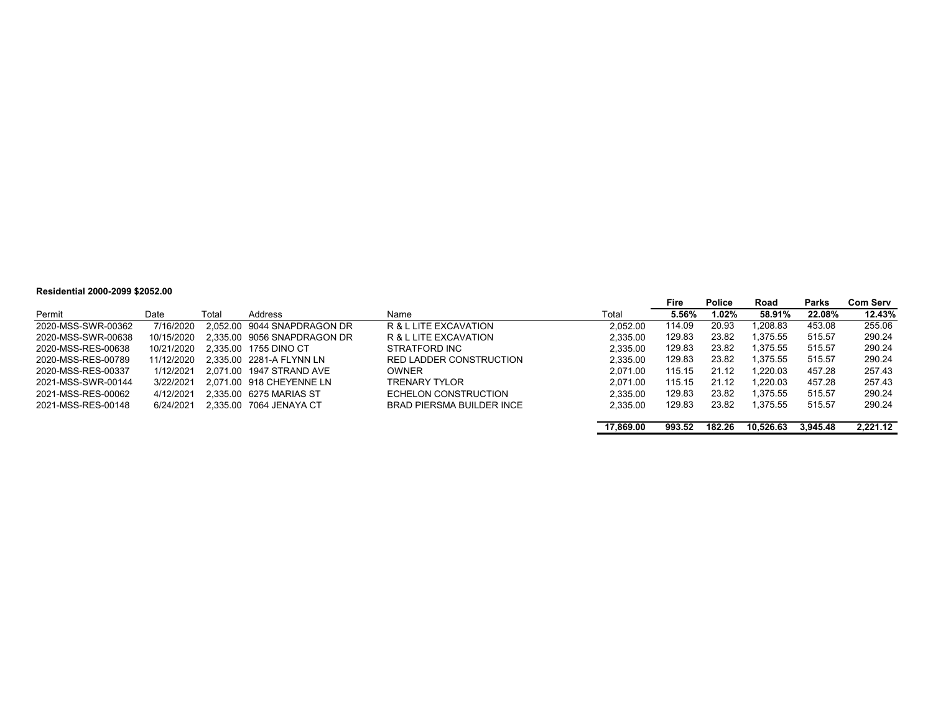#### **Residential 2000-2099 \$2052.00**

| I \VVI\VIII\I\I #VVV #VVV V#VV#IVV |            |       |                             |                                  |           |        |               |           |              |                 |
|------------------------------------|------------|-------|-----------------------------|----------------------------------|-----------|--------|---------------|-----------|--------------|-----------------|
|                                    |            |       |                             |                                  |           | Fire   | <b>Police</b> | Road      | <b>Parks</b> | <b>Com Serv</b> |
| Permit                             | Date       | Total | Address                     | Name                             | Total     | 5.56%  | 1.02%         | 58.91%    | 22.08%       | 12.43%          |
| 2020-MSS-SWR-00362                 | 7/16/2020  |       | 2.052.00 9044 SNAPDRAGON DR | R & L LITE EXCAVATION            | 2.052.00  | 114.09 | 20.93         | 1.208.83  | 453.08       | 255.06          |
| 2020-MSS-SWR-00638                 | 10/15/2020 |       | 2.335.00 9056 SNAPDRAGON DR | R & L LITE EXCAVATION            | 2.335.00  | 129.83 | 23.82         | 1.375.55  | 515.57       | 290.24          |
| 2020-MSS-RES-00638                 | 10/21/2020 |       | 2.335.00 1755 DINO CT       | STRATFORD INC                    | 2.335.00  | 129.83 | 23.82         | 1.375.55  | 515.57       | 290.24          |
| 2020-MSS-RES-00789                 | 11/12/2020 |       | 2.335.00 2281-A FLYNN LN    | <b>RED LADDER CONSTRUCTION</b>   | 2.335.00  | 129.83 | 23.82         | 1.375.55  | 515.57       | 290.24          |
| 2020-MSS-RES-00337                 | 1/12/2021  |       | 2.071.00 1947 STRAND AVE    | <b>OWNER</b>                     | 2.071.00  | 115.15 | 21.12         | 1.220.03  | 457.28       | 257.43          |
| 2021-MSS-SWR-00144                 | 3/22/2021  |       | 2.071.00 918 CHEYENNE LN    | <b>TRENARY TYLOR</b>             | 2.071.00  | 115.15 | 21.12         | 1.220.03  | 457.28       | 257.43          |
| 2021-MSS-RES-00062                 | 4/12/2021  |       | 2.335.00 6275 MARIAS ST     | ECHELON CONSTRUCTION             | 2.335.00  | 129.83 | 23.82         | 1.375.55  | 515.57       | 290.24          |
| 2021-MSS-RES-00148                 | 6/24/2021  |       | 2.335.00 7064 JENAYA CT     | <b>BRAD PIERSMA BUILDER INCE</b> | 2.335.00  | 129.83 | 23.82         | 1.375.55  | 515.57       | 290.24          |
|                                    |            |       |                             |                                  | 17.869.00 | 993.52 | 182.26        | 10.526.63 | 3.945.48     | 2.221.12        |

 $\sim$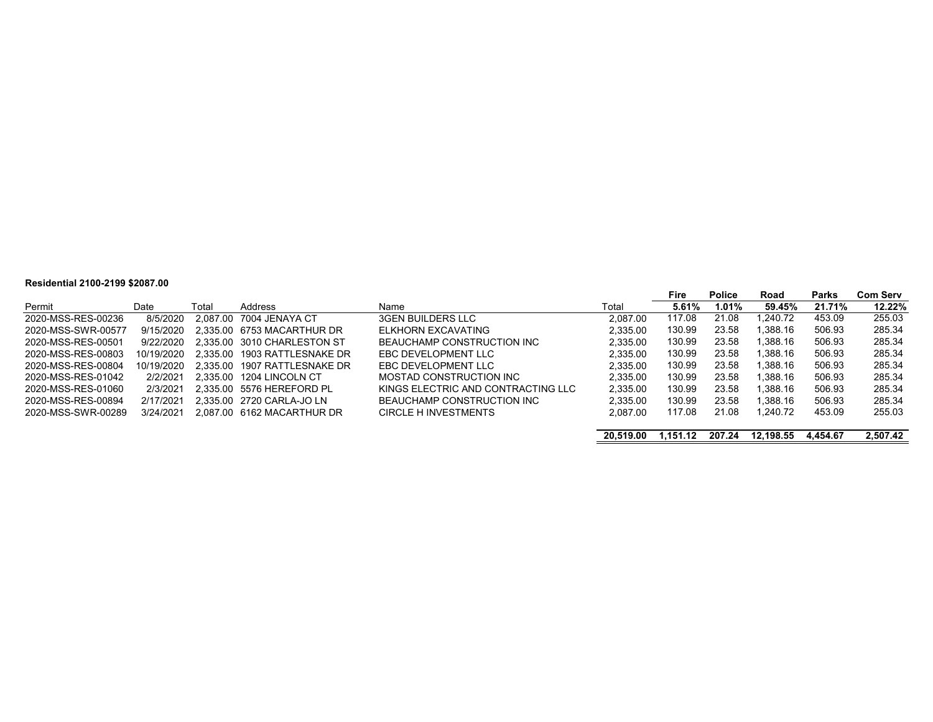#### **Residential 2100-2199 \$2087.00**

|                    |            |       |                              |                                    |           | Fire     | Police | Road      | Parks    | <b>Com Serv</b> |
|--------------------|------------|-------|------------------------------|------------------------------------|-----------|----------|--------|-----------|----------|-----------------|
| Permit             | Date       | Total | Address                      | Name                               | Total     | 5.61%    | 1.01%  | 59.45%    | 21.71%   | 12.22%          |
| 2020-MSS-RES-00236 | 8/5/2020   |       | 2.087.00 7004 JENAYA CT      | <b>3GEN BUILDERS LLC</b>           | 2.087.00  | 117.08   | 21.08  | 1.240.72  | 453.09   | 255.03          |
| 2020-MSS-SWR-00577 | 9/15/2020  |       | 2.335.00 6753 MACARTHUR DR   | ELKHORN EXCAVATING                 | 2.335.00  | 130.99   | 23.58  | l.388.16  | 506.93   | 285.34          |
| 2020-MSS-RES-00501 | 9/22/2020  |       | 2.335.00 3010 CHARLESTON ST  | BEAUCHAMP CONSTRUCTION INC         | 2,335.00  | 130.99   | 23.58  | l.388.16  | 506.93   | 285.34          |
| 2020-MSS-RES-00803 | 10/19/2020 |       | 2.335.00 1903 RATTLESNAKE DR | EBC DEVELOPMENT LLC                | 2.335.00  | 130.99   | 23.58  | l.388.16  | 506.93   | 285.34          |
| 2020-MSS-RES-00804 | 10/19/2020 |       | 2.335.00 1907 RATTLESNAKE DR | EBC DEVELOPMENT LLC                | 2.335.00  | 130.99   | 23.58  | l.388.16  | 506.93   | 285.34          |
| 2020-MSS-RES-01042 | 2/2/2021   |       | 2.335.00 1204 LINCOLN CT     | MOSTAD CONSTRUCTION INC            | 2.335.00  | 130.99   | 23.58  | l.388.16  | 506.93   | 285.34          |
| 2020-MSS-RES-01060 | 2/3/2021   |       | 2.335.00 5576 HEREFORD PL    | KINGS ELECTRIC AND CONTRACTING LLC | 2,335.00  | 130.99   | 23.58  | 1.388.16  | 506.93   | 285.34          |
| 2020-MSS-RES-00894 | 2/17/2021  |       | 2.335.00 2720 CARLA-JO LN    | BEAUCHAMP CONSTRUCTION INC         | 2.335.00  | 130.99   | 23.58  | 1.388.16  | 506.93   | 285.34          |
| 2020-MSS-SWR-00289 | 3/24/2021  |       | 2.087.00 6162 MACARTHUR DR   | CIRCLE H INVESTMENTS               | 2.087.00  | 117.08   | 21.08  | 1.240.72  | 453.09   | 255.03          |
|                    |            |       |                              |                                    | 20.519.00 | 1.151.12 | 207.24 | 12.198.55 | 4.454.67 | 2.507.42        |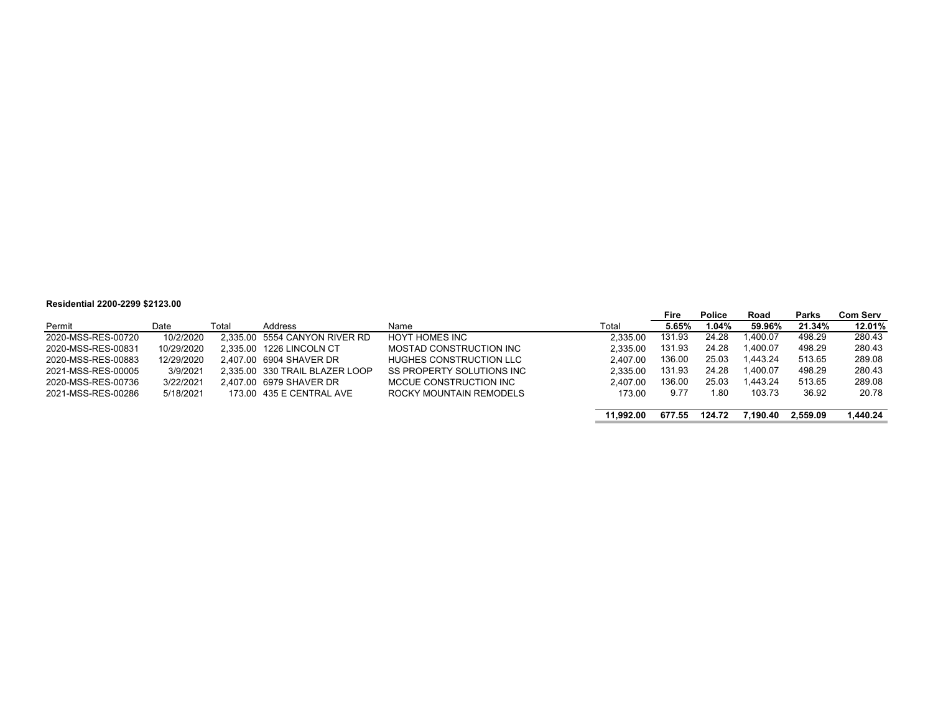#### **Residential 2200-2299 \$2123.00**

|                    |            |       |                                |                           |           | Fire   | <b>Police</b> | Road     | <b>Parks</b> | Com Serv |
|--------------------|------------|-------|--------------------------------|---------------------------|-----------|--------|---------------|----------|--------------|----------|
| Permit             | Date       | Total | Address                        | Name                      | Total     | 5.65%  | 1.04%         | 59.96%   | 21.34%       | 12.01%   |
| 2020-MSS-RES-00720 | 10/2/2020  |       | 2,335.00 5554 CANYON RIVER RD  | HOYT HOMES INC            | 2.335.00  | 131.93 | 24.28         | l.400.07 | 498.29       | 280.43   |
| 2020-MSS-RES-00831 | 10/29/2020 |       | 2.335.00 1226 LINCOLN CT       | MOSTAD CONSTRUCTION INC   | 2.335.00  | 131.93 | 24.28         | 1.400.07 | 498.29       | 280.43   |
| 2020-MSS-RES-00883 | 12/29/2020 |       | 2.407.00 6904 SHAVER DR        | HUGHES CONSTRUCTION LLC   | 2.407.00  | 136.00 | 25.03         | 1.443.24 | 513.65       | 289.08   |
| 2021-MSS-RES-00005 | 3/9/2021   |       | 2.335.00 330 TRAIL BLAZER LOOP | SS PROPERTY SOLUTIONS INC | 2.335.00  | 131.93 | 24.28         | 1.400.07 | 498.29       | 280.43   |
| 2020-MSS-RES-00736 | 3/22/2021  |       | 2.407.00 6979 SHAVER DR        | MCCUE CONSTRUCTION INC    | 2.407.00  | 136.00 | 25.03         | 1.443.24 | 513.65       | 289.08   |
| 2021-MSS-RES-00286 | 5/18/2021  |       | 173.00 435 E CENTRAL AVE       | ROCKY MOUNTAIN REMODELS   | 173.00    | 9.77   | l.80          | 103.73   | 36.92        | 20.78    |
|                    |            |       |                                |                           | 11.992.00 | 677.55 | 124.72        | 7.190.40 | 2.559.09     | 1.440.24 |

 $\overline{\phantom{a}}$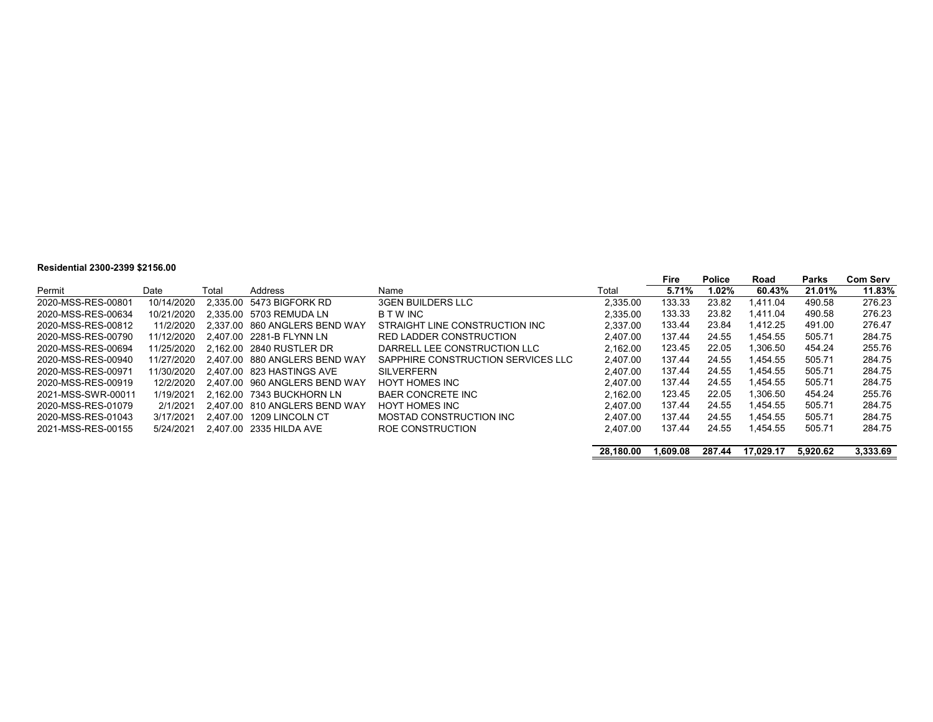#### **Residential 2300-2399 \$2156.00**

|                    |            |       |                               |                                    |           | Fire     | <b>Police</b> | Road      | Parks    | <b>Com Serv</b> |
|--------------------|------------|-------|-------------------------------|------------------------------------|-----------|----------|---------------|-----------|----------|-----------------|
| Permit             | Date       | Total | Address                       | Name                               | Total     | 5.71%    | 1.02%         | 60.43%    | 21.01%   | 11.83%          |
| 2020-MSS-RES-00801 | 10/14/2020 |       | 2.335.00 5473 BIGFORK RD      | <b>3GEN BUILDERS LLC</b>           | 2.335.00  | 133.33   | 23.82         | 1.411.04  | 490.58   | 276.23          |
| 2020-MSS-RES-00634 | 10/21/2020 |       | 2.335.00 5703 REMUDA LN       | B T W INC                          | 2,335.00  | 133.33   | 23.82         | 1.411.04  | 490.58   | 276.23          |
| 2020-MSS-RES-00812 | 11/2/2020  |       | 2.337.00 860 ANGLERS BEND WAY | STRAIGHT LINE CONSTRUCTION INC     | 2.337.00  | 133.44   | 23.84         | 1.412.25  | 491.00   | 276.47          |
| 2020-MSS-RES-00790 | 11/12/2020 |       | 2.407.00 2281-B FLYNN LN      | RED LADDER CONSTRUCTION            | 2.407.00  | 137.44   | 24.55         | 1.454.55  | 505.71   | 284.75          |
| 2020-MSS-RES-00694 | 11/25/2020 |       | 2.162.00 2840 RUSTLER DR      | DARRELL LEE CONSTRUCTION LLC       | 2.162.00  | 123.45   | 22.05         | 1.306.50  | 454.24   | 255.76          |
| 2020-MSS-RES-00940 | 11/27/2020 |       | 2.407.00 880 ANGLERS BEND WAY | SAPPHIRE CONSTRUCTION SERVICES LLC | 2.407.00  | 137.44   | 24.55         | 1.454.55  | 505.71   | 284.75          |
| 2020-MSS-RES-00971 | 11/30/2020 |       | 2.407.00 823 HASTINGS AVE     | <b>SILVERFERN</b>                  | 2.407.00  | 137.44   | 24.55         | 1.454.55  | 505.71   | 284.75          |
| 2020-MSS-RES-00919 | 12/2/2020  |       | 2.407.00 960 ANGLERS BEND WAY | <b>HOYT HOMES INC</b>              | 2.407.00  | 137.44   | 24.55         | 1.454.55  | 505.71   | 284.75          |
| 2021-MSS-SWR-00011 | 1/19/2021  |       | 2.162.00 7343 BUCKHORN LN     | <b>BAER CONCRETE INC</b>           | 2.162.00  | 123.45   | 22.05         | 1.306.50  | 454.24   | 255.76          |
| 2020-MSS-RES-01079 | 2/1/2021   |       | 2.407.00 810 ANGLERS BEND WAY | <b>HOYT HOMES INC</b>              | 2.407.00  | 137.44   | 24.55         | 1.454.55  | 505.71   | 284.75          |
| 2020-MSS-RES-01043 | 3/17/2021  |       | 2.407.00 1209 LINCOLN CT      | MOSTAD CONSTRUCTION INC            | 2.407.00  | 137.44   | 24.55         | 1.454.55  | 505.71   | 284.75          |
| 2021-MSS-RES-00155 | 5/24/2021  |       | 2.407.00 2335 HILDA AVE       | ROE CONSTRUCTION                   | 2.407.00  | 137.44   | 24.55         | 1.454.55  | 505.71   | 284.75          |
|                    |            |       |                               |                                    | 28.180.00 | 1.609.08 | 287.44        | 17.029.17 | 5.920.62 | 3.333.69        |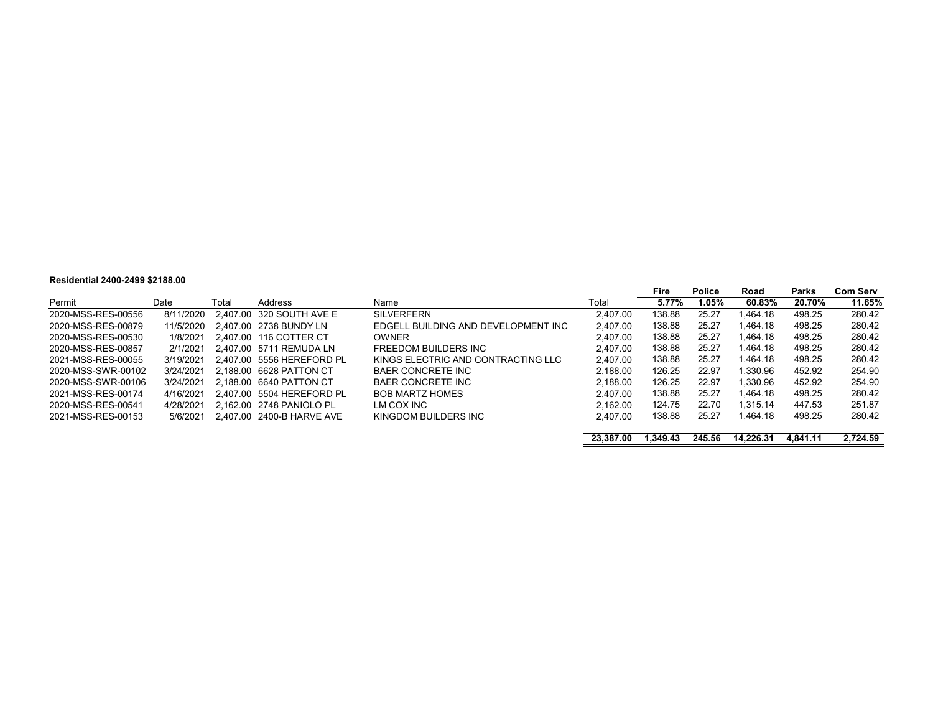#### **Residential 2400-2499 \$2188.00**

|                    |           |       |                           |                                     |           | Fire     | <b>Police</b> | Road      | Parks    | Com Serv |
|--------------------|-----------|-------|---------------------------|-------------------------------------|-----------|----------|---------------|-----------|----------|----------|
| Permit             | Date      | Total | Address                   | Name                                | Total     | 5.77%    | I.05%         | 60.83%    | 20.70%   | 11.65%   |
| 2020-MSS-RES-00556 | 8/11/2020 |       | 2.407.00 320 SOUTH AVE E  | <b>SILVERFERN</b>                   | 2.407.00  | 138.88   | 25.27         | 1.464.18  | 498.25   | 280.42   |
| 2020-MSS-RES-00879 | 11/5/2020 |       | 2.407.00 2738 BUNDY LN    | EDGELL BUILDING AND DEVELOPMENT INC | 2.407.00  | 138.88   | 25.27         | 1.464.18  | 498.25   | 280.42   |
| 2020-MSS-RES-00530 | 1/8/2021  |       | 2.407.00 116 COTTER CT    | <b>OWNER</b>                        | 2.407.00  | 138.88   | 25.27         | 1.464.18  | 498.25   | 280.42   |
| 2020-MSS-RES-00857 | 2/1/2021  |       | 2.407.00 5711 REMUDA LN   | FREEDOM BUILDERS INC                | 2.407.00  | 138.88   | 25.27         | 1.464.18  | 498.25   | 280.42   |
| 2021-MSS-RES-00055 | 3/19/2021 |       | 2.407.00 5556 HEREFORD PL | KINGS ELECTRIC AND CONTRACTING LLC  | 2.407.00  | 138.88   | 25.27         | 1.464.18  | 498.25   | 280.42   |
| 2020-MSS-SWR-00102 | 3/24/2021 |       | 2.188.00 6628 PATTON CT   | BAER CONCRETE INC                   | 2.188.00  | 126.25   | 22.97         | 1.330.96  | 452.92   | 254.90   |
| 2020-MSS-SWR-00106 | 3/24/2021 |       | 2.188.00 6640 PATTON CT   | <b>BAER CONCRETE INC</b>            | 2.188.00  | 126.25   | 22.97         | 1.330.96  | 452.92   | 254.90   |
| 2021-MSS-RES-00174 | 4/16/2021 |       | 2.407.00 5504 HEREFORD PL | <b>BOB MARTZ HOMES</b>              | 2.407.00  | 138.88   | 25.27         | 1.464.18  | 498.25   | 280.42   |
| 2020-MSS-RES-00541 | 4/28/2021 |       | 2.162.00 2748 PANIOLO PL  | LM COX INC                          | 2.162.00  | 124.75   | 22.70         | 1.315.14  | 447.53   | 251.87   |
| 2021-MSS-RES-00153 | 5/6/2021  |       | 2.407.00 2400-B HARVE AVE | KINGDOM BUILDERS INC                | 2,407.00  | 138.88   | 25.27         | 1.464.18  | 498.25   | 280.42   |
|                    |           |       |                           |                                     | 23,387.00 | 1.349.43 | 245.56        | 14.226.31 | 4.841.11 | 2.724.59 |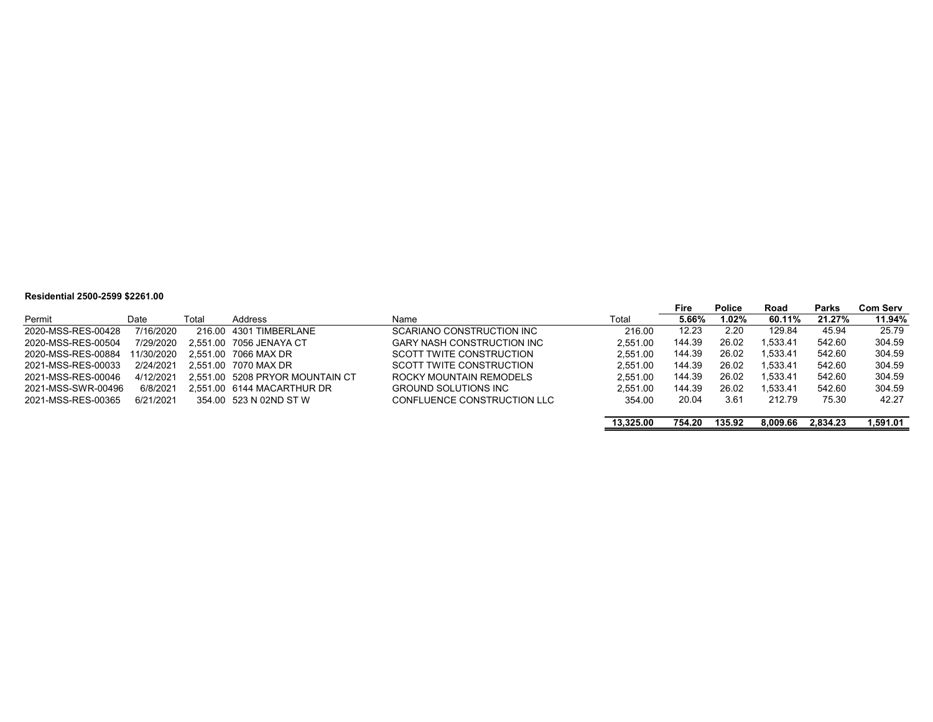#### **Residential 2500-2599 \$2261.00**

|                    |            |       |                                 |                                   |           | Fire   | <b>Police</b> | Road     | Parks    | <b>Com Serv</b> |
|--------------------|------------|-------|---------------------------------|-----------------------------------|-----------|--------|---------------|----------|----------|-----------------|
| Permit             | Date       | Total | Address                         | Name                              | Total     | 5.66%  | 1.02%         | 60.11%   | 21.27%   | 11.94%          |
| 2020-MSS-RES-00428 | 7/16/2020  |       | 216.00 4301 TIMBERLANE          | SCARIANO CONSTRUCTION INC         | 216.00    | 12.23  | 2.20          | 129.84   | 45.94    | 25.79           |
| 2020-MSS-RES-00504 | 7/29/2020  |       | 2.551.00 7056 JENAYA CT         | <b>GARY NASH CONSTRUCTION INC</b> | 2.551.00  | 144.39 | 26.02         | 1.533.41 | 542.60   | 304.59          |
| 2020-MSS-RES-00884 | 11/30/2020 |       | 2.551.00 7066 MAX DR            | SCOTT TWITE CONSTRUCTION          | 2.551.00  | 144.39 | 26.02         | 1.533.41 | 542.60   | 304.59          |
| 2021-MSS-RES-00033 | 2/24/2021  |       | 2.551.00 7070 MAX DR            | SCOTT TWITE CONSTRUCTION          | 2.551.00  | 144.39 | 26.02         | 1.533.41 | 542.60   | 304.59          |
| 2021-MSS-RES-00046 | 4/12/2021  |       | 2.551.00 5208 PRYOR MOUNTAIN CT | ROCKY MOUNTAIN REMODELS           | 2.551.00  | 144.39 | 26.02         | 1.533.41 | 542.60   | 304.59          |
| 2021-MSS-SWR-00496 | 6/8/2021   |       | 2.551.00 6144 MACARTHUR DR      | <b>GROUND SOLUTIONS INC</b>       | 2.551.00  | 144.39 | 26.02         | 1.533.41 | 542.60   | 304.59          |
| 2021-MSS-RES-00365 | 6/21/2021  |       | 354.00 523 N 02ND ST W          | CONFLUENCE CONSTRUCTION LLC       | 354.00    | 20.04  | 3.61          | 212.79   | 75.30    | 42.27           |
|                    |            |       |                                 |                                   | 13.325.00 | 754.20 | 135.92        | 8.009.66 | 2.834.23 | l.591.01        |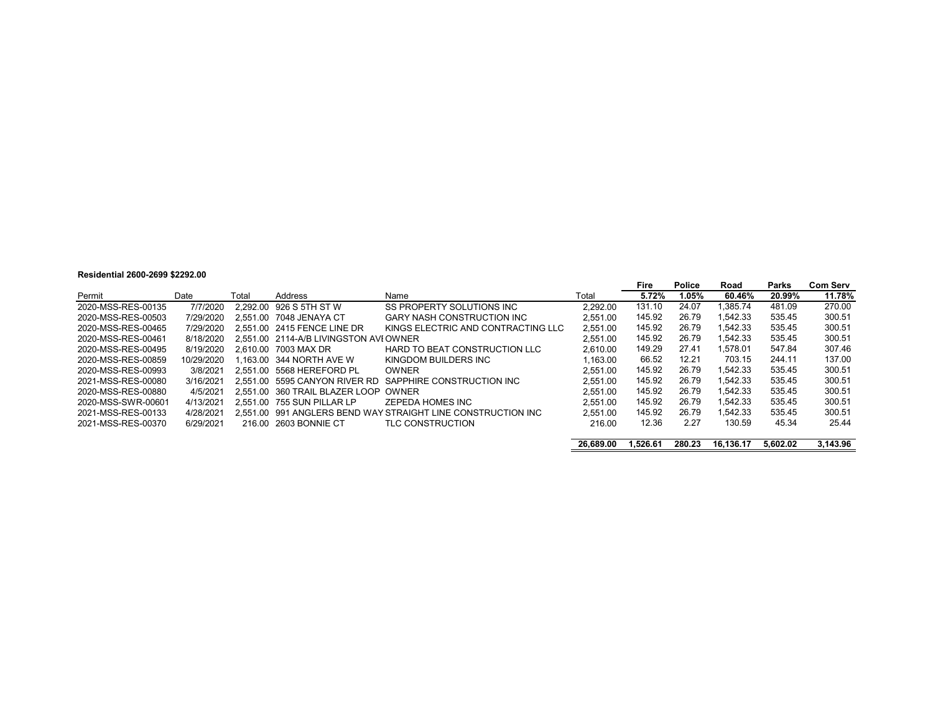#### **Residential 2600-2699 \$2292.00**

|                    |            |       |                                       |                                                              |           | Fire     | <b>Police</b> | Road      | Parks    | <b>Com Serv</b> |
|--------------------|------------|-------|---------------------------------------|--------------------------------------------------------------|-----------|----------|---------------|-----------|----------|-----------------|
| Permit             | Date       | Total | Address                               | Name                                                         | Total     | 5.72%    | 1.05%         | 60.46%    | 20.99%   | 11.78%          |
| 2020-MSS-RES-00135 | 7/7/2020   |       | 2.292.00 926 S 5TH ST W               | SS PROPERTY SOLUTIONS INC                                    | 2.292.00  | 131.10   | 24.07         | 1.385.74  | 481.09   | 270.00          |
| 2020-MSS-RES-00503 | 7/29/2020  |       | 2.551.00 7048 JENAYA CT               | <b>GARY NASH CONSTRUCTION INC.</b>                           | 2.551.00  | 145.92   | 26.79         | 1.542.33  | 535.45   | 300.51          |
| 2020-MSS-RES-00465 | 7/29/2020  |       | 2.551.00 2415 FENCE LINE DR           | KINGS ELECTRIC AND CONTRACTING LLC                           | 2.551.00  | 145.92   | 26.79         | 1.542.33  | 535.45   | 300.51          |
| 2020-MSS-RES-00461 | 8/18/2020  |       | 2.551.00 2114-A/B LIVINGSTON AVIOWNER |                                                              | 2.551.00  | 145.92   | 26.79         | 1.542.33  | 535.45   | 300.51          |
| 2020-MSS-RES-00495 | 8/19/2020  |       | 2.610.00 7003 MAX DR                  | HARD TO BEAT CONSTRUCTION LLC                                | 2.610.00  | 149.29   | 27.41         | 1.578.01  | 547.84   | 307.46          |
| 2020-MSS-RES-00859 | 10/29/2020 |       | .163.00 344 NORTH AVE W               | KINGDOM BUILDERS INC                                         | 1.163.00  | 66.52    | 12.21         | 703.15    | 244.11   | 137.00          |
| 2020-MSS-RES-00993 | 3/8/2021   |       | 2.551.00 5568 HEREFORD PL             | <b>OWNER</b>                                                 | 2.551.00  | 145.92   | 26.79         | 1.542.33  | 535.45   | 300.51          |
| 2021-MSS-RES-00080 | 3/16/2021  |       | 2.551.00 5595 CANYON RIVER RD         | SAPPHIRE CONSTRUCTION INC                                    | 2.551.00  | 145.92   | 26.79         | 1.542.33  | 535.45   | 300.51          |
| 2020-MSS-RES-00880 | 4/5/2021   |       | 2.551.00 360 TRAIL BLAZER LOOP OWNER  |                                                              | 2.551.00  | 145.92   | 26.79         | 1.542.33  | 535.45   | 300.51          |
| 2020-MSS-SWR-00601 | 4/13/2021  |       | 2.551.00 755 SUN PILLAR LP            | ZEPEDA HOMES INC                                             | 2.551.00  | 145.92   | 26.79         | 1.542.33  | 535.45   | 300.51          |
| 2021-MSS-RES-00133 | 4/28/2021  |       |                                       | 2.551.00 991 ANGLERS BEND WAY STRAIGHT LINE CONSTRUCTION INC | 2.551.00  | 145.92   | 26.79         | 1.542.33  | 535.45   | 300.51          |
| 2021-MSS-RES-00370 | 6/29/2021  |       | 216.00 2603 BONNIE CT                 | TLC CONSTRUCTION                                             | 216.00    | 12.36    | 2.27          | 130.59    | 45.34    | 25.44           |
|                    |            |       |                                       |                                                              | 26,689.00 | 1.526.61 | 280.23        | 16.136.17 | 5.602.02 | 3.143.96        |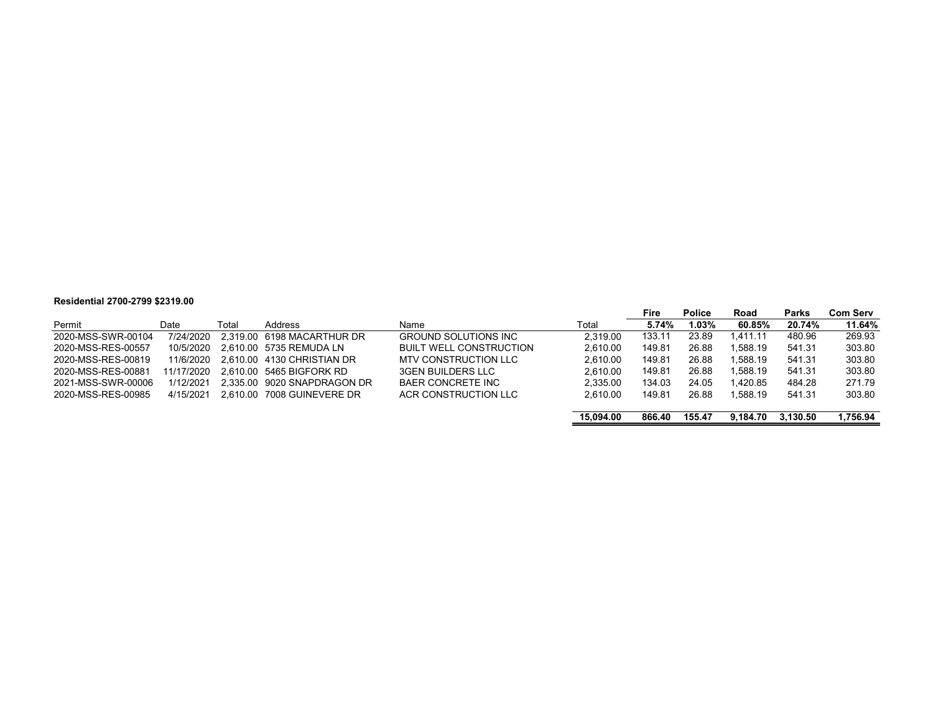#### **Residential 2700-2799 \$2319.00**

|                    |            |       |                             |                                |           | Fire   | <b>Police</b> | Road     | <b>Parks</b> | Com Serv |
|--------------------|------------|-------|-----------------------------|--------------------------------|-----------|--------|---------------|----------|--------------|----------|
| Permit             | Date       | Total | Address                     | Name                           | Total     | 5.74%  | 1.03%         | 60.85%   | 20.74%       | 11.64%   |
| 2020-MSS-SWR-00104 | 7/24/2020  |       | 2.319.00 6198 MACARTHUR DR  | <b>GROUND SOLUTIONS INC</b>    | 2.319.00  | 133.11 | 23.89         | 1.411.11 | 480.96       | 269.93   |
| 2020-MSS-RES-00557 | 10/5/2020  |       | 2.610.00 5735 REMUDA LN     | <b>BUILT WELL CONSTRUCTION</b> | 2.610.00  | 149.81 | 26.88         | 1.588.19 | 541.31       | 303.80   |
| 2020-MSS-RES-00819 | 11/6/2020  |       | 2.610.00 4130 CHRISTIAN DR  | MTV CONSTRUCTION LLC           | 2.610.00  | 149.81 | 26.88         | 1.588.19 | 541.31       | 303.80   |
| 2020-MSS-RES-00881 | 11/17/2020 |       | 2.610.00 5465 BIGFORK RD    | <b>3GEN BUILDERS LLC</b>       | 2.610.00  | 149.81 | 26.88         | 1,588.19 | 541.31       | 303.80   |
| 2021-MSS-SWR-00006 | 1/12/2021  |       | 2.335.00 9020 SNAPDRAGON DR | BAER CONCRETE INC              | 2.335.00  | 134.03 | 24.05         | 1.420.85 | 484.28       | 271.79   |
| 2020-MSS-RES-00985 | 4/15/2021  |       | 2.610.00 7008 GUINEVERE DR  | ACR CONSTRUCTION LLC           | 2.610.00  | 149.81 | 26.88         | 1.588.19 | 541.31       | 303.80   |
|                    |            |       |                             |                                |           |        |               |          |              |          |
|                    |            |       |                             |                                | 15.094.00 | 866.40 | 155.47        | 9.184.70 | 3.130.50     | 1,756.94 |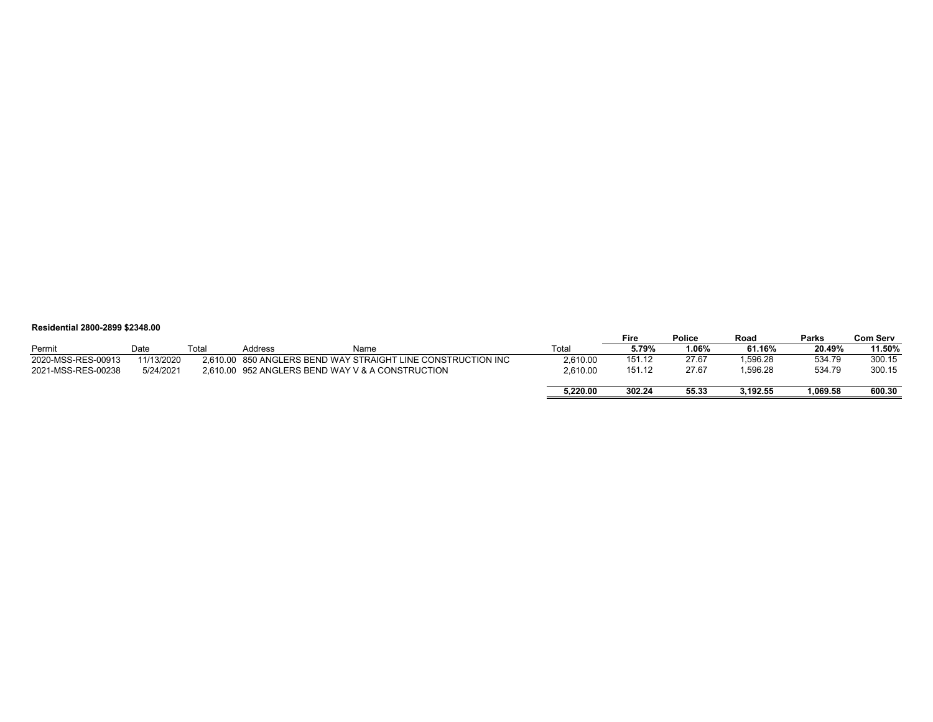#### **Residential 2800-2899 \$2348.00**

|                    |            |       |         |                                                              |          | Fire   | <b>Police</b> | Road     | <b>Parks</b> | Com Serv |
|--------------------|------------|-------|---------|--------------------------------------------------------------|----------|--------|---------------|----------|--------------|----------|
| Permit             | Date       | Total | Address | Name                                                         | Total    | 5.79%  | 06%،          | 61.16%   | 20.49%       | 11.50%   |
| 2020-MSS-RES-00913 | 11/13/2020 |       |         | 2.610.00 850 ANGLERS BEND WAY STRAIGHT LINE CONSTRUCTION INC | 2.610.00 | 151.12 | 27.67         | .596.28  | 534.79       | 300.15   |
| 2021-MSS-RES-00238 | 5/24/2021  |       |         | 2.610.00 952 ANGLERS BEND WAY V & A CONSTRUCTION             | 2.610.00 | 151.12 | 27.67         | 1,596.28 | 534.79       | 300.15   |
|                    |            |       |         |                                                              |          |        |               |          |              |          |
|                    |            |       |         |                                                              | 5,220.00 | 302.24 | 55.33         | 3.192.55 | .069.58      | 600.30   |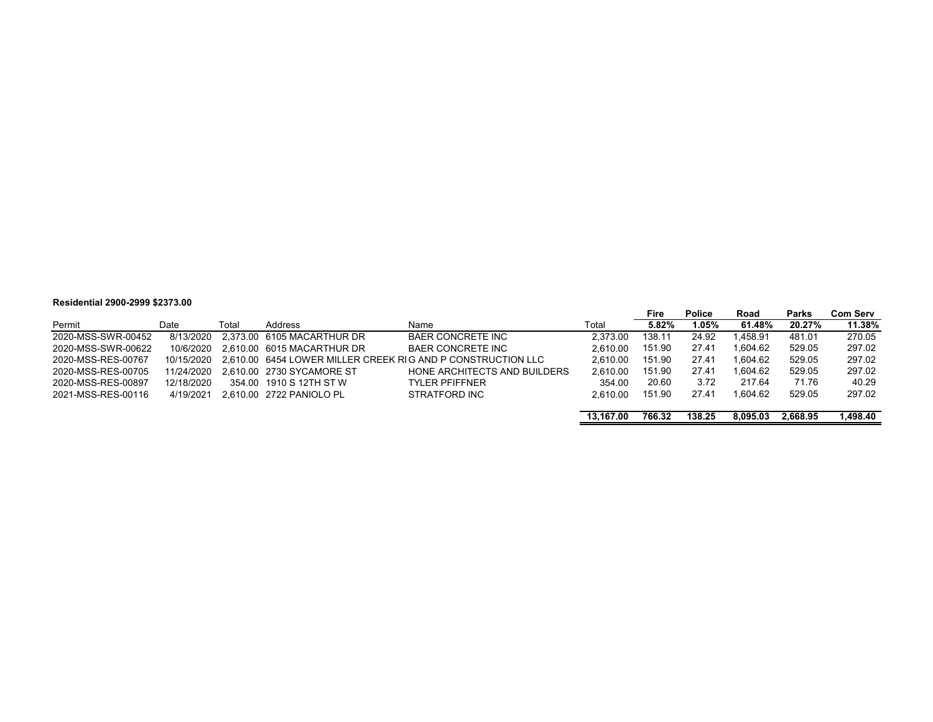#### **Residential 2900-2999 \$2373.00**

|                    |            |       |                            |                                                             |           | Fire   | <b>Police</b> | Road     | Parks    | <b>Com Serv</b> |
|--------------------|------------|-------|----------------------------|-------------------------------------------------------------|-----------|--------|---------------|----------|----------|-----------------|
| Permit             | Date       | Total | Address                    | Name                                                        | Total     | 5.82%  | 1.05%         | 61.48%   | 20.27%   | 11.38%          |
| 2020-MSS-SWR-00452 | 8/13/2020  |       | 2.373.00 6105 MACARTHUR DR | <b>BAER CONCRETE INC</b>                                    | 2.373.00  | 138.11 | 24.92         | .458.91  | 481.01   | 270.05          |
| 2020-MSS-SWR-00622 | 10/6/2020  |       | 2.610.00 6015 MACARTHUR DR | <b>BAER CONCRETE INC</b>                                    | 2.610.00  | 151.90 | 27.41         | .604.62  | 529.05   | 297.02          |
| 2020-MSS-RES-00767 | 10/15/2020 |       |                            | 2,610.00 6454 LOWER MILLER CREEK RIG AND P CONSTRUCTION LLC | 2.610.00  | 151.90 | 27.41         | .604.62  | 529.05   | 297.02          |
| 2020-MSS-RES-00705 | 11/24/2020 |       | 2.610.00 2730 SYCAMORE ST  | HONE ARCHITECTS AND BUILDERS                                | 2.610.00  | 151.90 | 27.41         | 1.604.62 | 529.05   | 297.02          |
| 2020-MSS-RES-00897 | 12/18/2020 |       | 354.00 1910 S 12TH ST W    | <b>TYLER PFIFFNER</b>                                       | 354.00    | 20.60  | 3.72          | 217.64   | 71.76    | 40.29           |
| 2021-MSS-RES-00116 | 4/19/2021  |       | 2.610.00 2722 PANIOLO PL   | STRATFORD INC                                               | 2.610.00  | 151.90 | 27.41         | .604.62  | 529.05   | 297.02          |
|                    |            |       |                            |                                                             |           |        |               |          |          |                 |
|                    |            |       |                            |                                                             | 13.167.00 | 766.32 | 138.25        | 8.095.03 | 2.668.95 | 1,498.40        |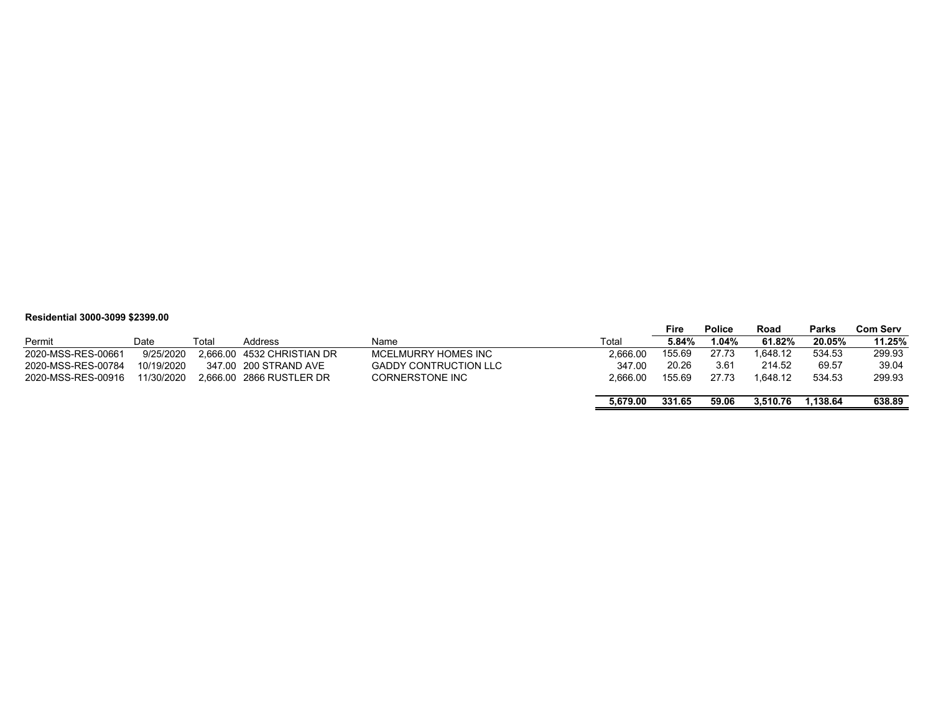#### **Residential 3000-3099 \$2399.00**

|                    |            |       |                            |                              |          | Fire   | <b>Police</b> | Road     | Parks   | Com Serv |
|--------------------|------------|-------|----------------------------|------------------------------|----------|--------|---------------|----------|---------|----------|
| Permit             | Date       | Total | Address                    | Name                         | Total    | 5.84%  | 04%.ا         | 61.82%   | 20.05%  | 11.25%   |
| 2020-MSS-RES-00661 | 9/25/2020  |       | 2.666.00 4532 CHRISTIAN DR | MCELMURRY HOMES INC          | 2.666.00 | 155.69 | 27.73         | 1.648.12 | 534.53  | 299.93   |
| 2020-MSS-RES-00784 | 10/19/2020 |       | 347.00 200 STRAND AVE      | <b>GADDY CONTRUCTION LLC</b> | 347.00   | 20.26  | 3.61          | 214.52   | 69.57   | 39.04    |
| 2020-MSS-RES-00916 | 11/30/2020 |       | 2.666.00 2866 RUSTLER DR   | <b>CORNERSTONE INC</b>       | 2.666.00 | 155.69 | 27.73         | 1.648.12 | 534.53  | 299.93   |
|                    |            |       |                            |                              |          |        |               |          |         |          |
|                    |            |       |                            |                              | 5.679.00 | 331.65 | 59.06         | 3.510.76 | .138.64 | 638.89   |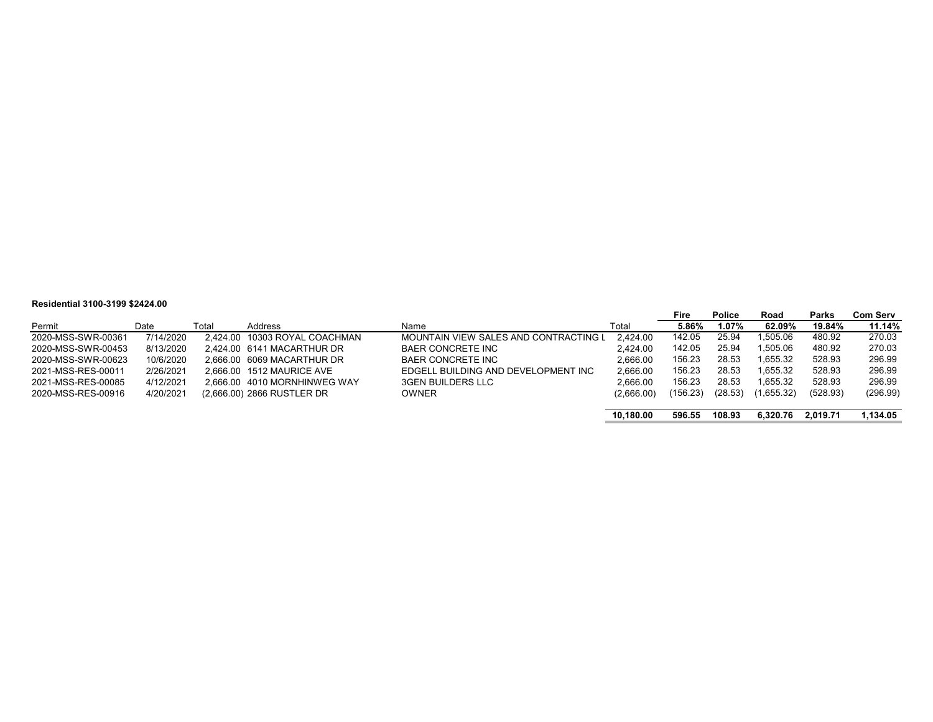#### **Residential 3100-3199 \$2424.00**

|                    |           |       |                               |                                       |            | Fire     | <b>Police</b> | Road       | <b>Parks</b> | <b>Com Serv</b> |
|--------------------|-----------|-------|-------------------------------|---------------------------------------|------------|----------|---------------|------------|--------------|-----------------|
| Permit             | Date      | Total | Address                       | Name                                  | Total      | 5.86%    | 1.07%         | 62.09%     | 19.84%       | 11.14%          |
| 2020-MSS-SWR-00361 | 7/14/2020 |       | 2.424.00 10303 ROYAL COACHMAN | MOUNTAIN VIEW SALES AND CONTRACTING L | 2.424.00   | 142.05   | 25.94         | 1.505.06   | 480.92       | 270.03          |
| 2020-MSS-SWR-00453 | 8/13/2020 |       | 2.424.00 6141 MACARTHUR DR    | <b>BAER CONCRETE INC</b>              | 2.424.00   | 142.05   | 25.94         | 1.505.06   | 480.92       | 270.03          |
| 2020-MSS-SWR-00623 | 10/6/2020 |       | 2.666.00 6069 MACARTHUR DR    | <b>BAER CONCRETE INC</b>              | 2.666.00   | 156.23   | 28.53         | 1.655.32   | 528.93       | 296.99          |
| 2021-MSS-RES-00011 | 2/26/2021 |       | 2.666.00 1512 MAURICE AVE     | EDGELL BUILDING AND DEVELOPMENT INC   | 2.666.00   | 156.23   | 28.53         | 1.655.32   | 528.93       | 296.99          |
| 2021-MSS-RES-00085 | 4/12/2021 |       | 2.666.00 4010 MORNHINWEG WAY  | <b>3GEN BUILDERS LLC</b>              | 2.666.00   | 156.23   | 28.53         | 1.655.32   | 528.93       | 296.99          |
| 2020-MSS-RES-00916 | 4/20/2021 |       | (2,666.00) 2866 RUSTLER DR    | <b>OWNER</b>                          | (2,666.00) | (156.23) | (28.53)       | (1,655.32) | (528.93)     | (296.99)        |
|                    |           |       |                               |                                       |            |          |               |            |              |                 |
|                    |           |       |                               |                                       | 10.180.00  | 596.55   | 108.93        | 6.320.76   | 2.019.71     | .134.05         |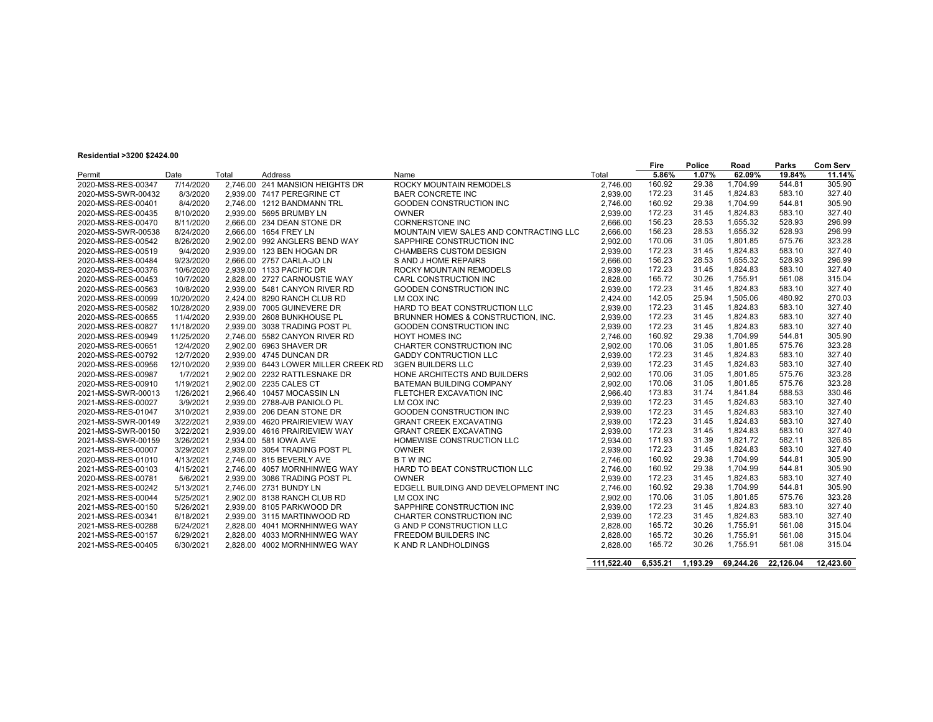#### **Residential >3200 \$2424.00**

| 19510611081 - 3200 \$2424.00 |            |       |                                     |                                         |            | Fire     | <b>Police</b> | Road      | Parks     | <b>Com Serv</b> |
|------------------------------|------------|-------|-------------------------------------|-----------------------------------------|------------|----------|---------------|-----------|-----------|-----------------|
| Permit                       | Date       | Total | Address                             | Name                                    | Total      | 5.86%    | 1.07%         | 62.09%    | 19.84%    | 11.14%          |
| 2020-MSS-RES-00347           | 7/14/2020  |       | 2.746.00 241 MANSION HEIGHTS DR     | <b>ROCKY MOUNTAIN REMODELS</b>          | 2,746.00   | 160.92   | 29.38         | 1.704.99  | 544.81    | 305.90          |
| 2020-MSS-SWR-00432           | 8/3/2020   |       | 2.939.00 7417 PEREGRINE CT          | <b>BAER CONCRETE INC</b>                | 2,939.00   | 172.23   | 31.45         | 1.824.83  | 583.10    | 327.40          |
| 2020-MSS-RES-00401           | 8/4/2020   |       | 2.746.00 1212 BANDMANN TRL          | GOODEN CONSTRUCTION INC                 | 2.746.00   | 160.92   | 29.38         | 1,704.99  | 544.81    | 305.90          |
| 2020-MSS-RES-00435           | 8/10/2020  |       | 2.939.00 5695 BRUMBY LN             | <b>OWNER</b>                            | 2.939.00   | 172.23   | 31.45         | 1,824.83  | 583.10    | 327.40          |
| 2020-MSS-RES-00470           | 8/11/2020  |       | 2.666.00 234 DEAN STONE DR          | <b>CORNERSTONE INC</b>                  | 2.666.00   | 156.23   | 28.53         | 1,655.32  | 528.93    | 296.99          |
| 2020-MSS-SWR-00538           | 8/24/2020  |       | 2.666.00 1654 FREY LN               | MOUNTAIN VIEW SALES AND CONTRACTING LLC | 2.666.00   | 156.23   | 28.53         | 1,655.32  | 528.93    | 296.99          |
| 2020-MSS-RES-00542           | 8/26/2020  |       | 2.902.00 992 ANGLERS BEND WAY       | SAPPHIRE CONSTRUCTION INC               | 2.902.00   | 170.06   | 31.05         | 1.801.85  | 575.76    | 323.28          |
| 2020-MSS-RES-00519           | 9/4/2020   |       | 2,939.00 123 BEN HOGAN DR           | <b>CHAMBERS CUSTOM DESIGN</b>           | 2,939.00   | 172.23   | 31.45         | 1.824.83  | 583.10    | 327.40          |
| 2020-MSS-RES-00484           | 9/23/2020  |       | 2,666.00 2757 CARLA-JO LN           | S AND J HOME REPAIRS                    | 2,666.00   | 156.23   | 28.53         | 1.655.32  | 528.93    | 296.99          |
| 2020-MSS-RES-00376           | 10/6/2020  |       | 2,939.00 1133 PACIFIC DR            | ROCKY MOUNTAIN REMODELS                 | 2,939.00   | 172.23   | 31.45         | 1,824.83  | 583.10    | 327.40          |
| 2020-MSS-RES-00453           | 10/7/2020  |       | 2.828.00 2727 CARNOUSTIE WAY        | <b>CARL CONSTRUCTION INC</b>            | 2.828.00   | 165.72   | 30.26         | 1,755.91  | 561.08    | 315.04          |
| 2020-MSS-RES-00563           | 10/8/2020  |       | 2.939.00 5481 CANYON RIVER RD       | GOODEN CONSTRUCTION INC                 | 2,939.00   | 172.23   | 31.45         | 1,824.83  | 583.10    | 327.40          |
| 2020-MSS-RES-00099           | 10/20/2020 |       | 2.424.00 8290 RANCH CLUB RD         | LM COX INC                              | 2.424.00   | 142.05   | 25.94         | 1.505.06  | 480.92    | 270.03          |
| 2020-MSS-RES-00582           | 10/28/2020 |       | 2.939.00 7005 GUINEVERE DR          | HARD TO BEAT CONSTRUCTION LLC           | 2.939.00   | 172.23   | 31.45         | 1.824.83  | 583.10    | 327.40          |
| 2020-MSS-RES-00655           | 11/4/2020  |       | 2,939.00 2608 BUNKHOUSE PL          | BRUNNER HOMES & CONSTRUCTION, INC.      | 2.939.00   | 172.23   | 31.45         | 1,824.83  | 583.10    | 327.40          |
| 2020-MSS-RES-00827           | 11/18/2020 |       | 2.939.00 3038 TRADING POST PL       | <b>GOODEN CONSTRUCTION INC</b>          | 2.939.00   | 172.23   | 31.45         | 1.824.83  | 583.10    | 327.40          |
| 2020-MSS-RES-00949           | 11/25/2020 |       | 2.746.00 5582 CANYON RIVER RD       | <b>HOYT HOMES INC</b>                   | 2.746.00   | 160.92   | 29.38         | 1.704.99  | 544.81    | 305.90          |
| 2020-MSS-RES-00651           | 12/4/2020  |       | 2.902.00 6963 SHAVER DR             | CHARTER CONSTRUCTION INC                | 2.902.00   | 170.06   | 31.05         | 1.801.85  | 575.76    | 323.28          |
| 2020-MSS-RES-00792           | 12/7/2020  |       | 2,939.00 4745 DUNCAN DR             | <b>GADDY CONTRUCTION LLC</b>            | 2,939.00   | 172.23   | 31.45         | 1.824.83  | 583.10    | 327.40          |
| 2020-MSS-RES-00956           | 12/10/2020 |       | 2,939.00 6443 LOWER MILLER CREEK RD | <b>3GEN BUILDERS LLC</b>                | 2,939.00   | 172.23   | 31.45         | 1.824.83  | 583.10    | 327.40          |
| 2020-MSS-RES-00987           | 1/7/2021   |       | 2,902.00 2232 RATTLESNAKE DR        | HONE ARCHITECTS AND BUILDERS            | 2.902.00   | 170.06   | 31.05         | 1.801.85  | 575.76    | 323.28          |
| 2020-MSS-RES-00910           | 1/19/2021  |       | 2.902.00 2235 CALES CT              | <b>BATEMAN BUILDING COMPANY</b>         | 2.902.00   | 170.06   | 31.05         | 1,801.85  | 575.76    | 323.28          |
| 2021-MSS-SWR-00013           | 1/26/2021  |       | 2.966.40 10457 MOCASSIN LN          | FLETCHER EXCAVATION INC                 | 2.966.40   | 173.83   | 31.74         | 1.841.84  | 588.53    | 330.46          |
| 2021-MSS-RES-00027           | 3/9/2021   |       | 2.939.00 2788-A/B PANIOLO PL        | LM COX INC                              | 2.939.00   | 172.23   | 31.45         | 1,824.83  | 583.10    | 327.40          |
| 2020-MSS-RES-01047           | 3/10/2021  |       | 2.939.00 206 DEAN STONE DR          | <b>GOODEN CONSTRUCTION INC</b>          | 2.939.00   | 172.23   | 31.45         | 1.824.83  | 583.10    | 327.40          |
| 2021-MSS-SWR-00149           | 3/22/2021  |       | 2.939.00 4620 PRAIRIEVIEW WAY       | <b>GRANT CREEK EXCAVATING</b>           | 2.939.00   | 172.23   | 31.45         | 1,824.83  | 583.10    | 327.40          |
| 2021-MSS-SWR-00150           | 3/22/2021  |       | 2,939.00 4616 PRAIRIEVIEW WAY       | <b>GRANT CREEK EXCAVATING</b>           | 2,939.00   | 172.23   | 31.45         | 1,824.83  | 583.10    | 327.40          |
| 2021-MSS-SWR-00159           | 3/26/2021  |       | 2,934.00 581 IOWA AVE               | HOMEWISE CONSTRUCTION LLC               | 2,934.00   | 171.93   | 31.39         | 1.821.72  | 582.11    | 326.85          |
| 2021-MSS-RES-00007           | 3/29/2021  |       | 2.939.00 3054 TRADING POST PL       | <b>OWNER</b>                            | 2.939.00   | 172.23   | 31.45         | 1,824.83  | 583.10    | 327.40          |
| 2020-MSS-RES-01010           | 4/13/2021  |       | 2.746.00 815 BEVERLY AVE            | <b>BTWINC</b>                           | 2.746.00   | 160.92   | 29.38         | 1,704.99  | 544.81    | 305.90          |
| 2021-MSS-RES-00103           | 4/15/2021  |       | 2.746.00 4057 MORNHINWEG WAY        | HARD TO BEAT CONSTRUCTION LLC           | 2,746.00   | 160.92   | 29.38         | 1.704.99  | 544.81    | 305.90          |
| 2020-MSS-RES-00781           | 5/6/2021   |       | 2,939.00 3086 TRADING POST PL       | <b>OWNER</b>                            | 2,939.00   | 172.23   | 31.45         | 1.824.83  | 583.10    | 327.40          |
| 2021-MSS-RES-00242           | 5/13/2021  |       | 2,746.00 2731 BUNDY LN              | EDGELL BUILDING AND DEVELOPMENT INC     | 2,746.00   | 160.92   | 29.38         | 1,704.99  | 544.81    | 305.90          |
| 2021-MSS-RES-00044           | 5/25/2021  |       | 2.902.00 8138 RANCH CLUB RD         | LM COX INC                              | 2.902.00   | 170.06   | 31.05         | 1.801.85  | 575.76    | 323.28          |
| 2021-MSS-RES-00150           | 5/26/2021  |       | 2.939.00 8105 PARKWOOD DR           | SAPPHIRE CONSTRUCTION INC               | 2.939.00   | 172.23   | 31.45         | 1,824.83  | 583.10    | 327.40          |
| 2021-MSS-RES-00341           | 6/18/2021  |       | 2.939.00 3115 MARTINWOOD RD         | CHARTER CONSTRUCTION INC                | 2.939.00   | 172.23   | 31.45         | 1.824.83  | 583.10    | 327.40          |
| 2021-MSS-RES-00288           | 6/24/2021  |       | 2,828.00 4041 MORNHINWEG WAY        | <b>G AND P CONSTRUCTION LLC</b>         | 2,828.00   | 165.72   | 30.26         | 1.755.91  | 561.08    | 315.04          |
| 2021-MSS-RES-00157           | 6/29/2021  |       | 2.828.00 4033 MORNHINWEG WAY        | <b>FREEDOM BUILDERS INC</b>             | 2,828.00   | 165.72   | 30.26         | 1.755.91  | 561.08    | 315.04          |
| 2021-MSS-RES-00405           | 6/30/2021  |       | 2,828.00 4002 MORNHINWEG WAY        | K AND R LANDHOLDINGS                    | 2,828.00   | 165.72   | 30.26         | 1,755.91  | 561.08    | 315.04          |
|                              |            |       |                                     |                                         |            |          |               |           |           |                 |
|                              |            |       |                                     |                                         | 111.522.40 | 6.535.21 | 1.193.29      | 69.244.26 | 22.126.04 | 12.423.60       |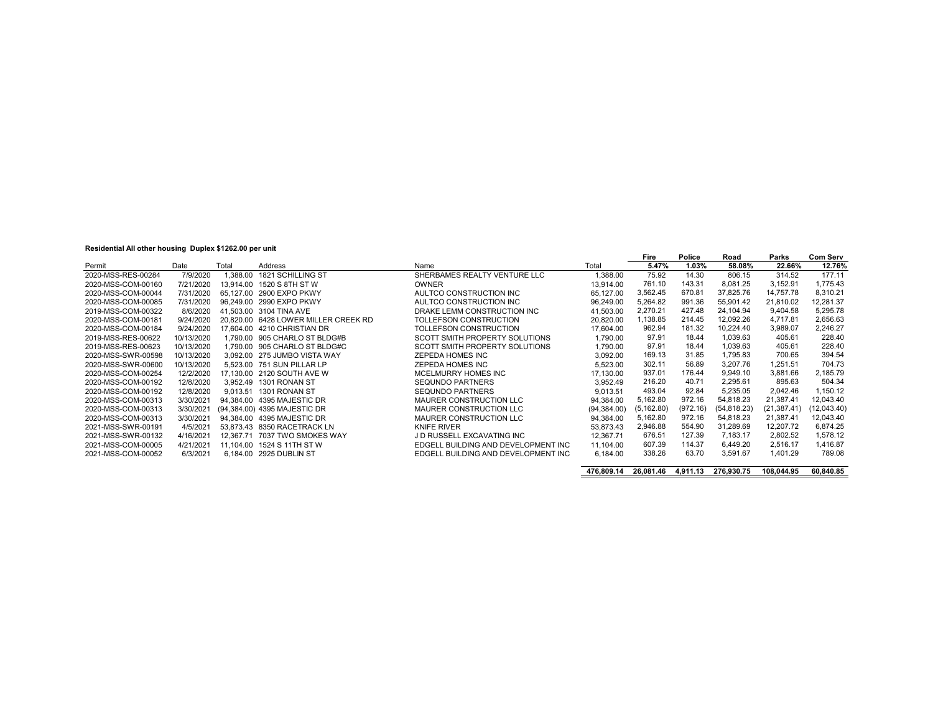#### **Residential All other housing Duplex \$1262.00 per unit**

|                    |            |          |                                      |                                       |             | Fire        | Police   | Road         | Parks        | <b>Com Serv</b> |
|--------------------|------------|----------|--------------------------------------|---------------------------------------|-------------|-------------|----------|--------------|--------------|-----------------|
| Permit             | Date       | Total    | Address                              | Name                                  | Total       | 5.47%       | 1.03%    | 58.08%       | 22.66%       | 12.76%          |
| 2020-MSS-RES-00284 | 7/9/2020   | 1.388.00 | 1821 SCHILLING ST                    | SHERBAMES REALTY VENTURE LLC          | 1.388.00    | 75.92       | 14.30    | 806.15       | 314.52       | 177.11          |
| 2020-MSS-COM-00160 | 7/21/2020  |          | 13.914.00 1520 S 8TH ST W            | <b>OWNER</b>                          | 13.914.00   | 761.10      | 143.31   | 8,081.25     | 3.152.91     | 1.775.43        |
| 2020-MSS-COM-00044 | 7/31/2020  |          | 65.127.00 2900 EXPO PKWY             | AULTCO CONSTRUCTION INC               | 65.127.00   | 3,562.45    | 670.81   | 37.825.76    | 14.757.78    | 8.310.21        |
| 2020-MSS-COM-00085 | 7/31/2020  |          | 96.249.00 2990 EXPO PKWY             | AULTCO CONSTRUCTION INC               | 96.249.00   | 5,264.82    | 991.36   | 55.901.42    | 21.810.02    | 12,281.37       |
| 2019-MSS-COM-00322 | 8/6/2020   |          | 41.503.00 3104 TINA AVE              | DRAKE LEMM CONSTRUCTION INC           | 41.503.00   | 2.270.21    | 427.48   | 24.104.94    | 9,404.58     | 5,295.78        |
| 2020-MSS-COM-00181 | 9/24/2020  |          | 20.820.00 6428 LOWER MILLER CREEK RD | TOLLEFSON CONSTRUCTION                | 20.820.00   | ,138.85     | 214.45   | 12.092.26    | 4.717.81     | 2,656.63        |
| 2020-MSS-COM-00184 | 9/24/2020  |          | 17.604.00 4210 CHRISTIAN DR          | TOLLEFSON CONSTRUCTION                | 17.604.00   | 962.94      | 181.32   | 10.224.40    | 3,989.07     | 2,246.27        |
| 2019-MSS-RES-00622 | 10/13/2020 |          | 1.790.00 905 CHARLO ST BLDG#B        | SCOTT SMITH PROPERTY SOLUTIONS        | 1.790.00    | 97.91       | 18.44    | 1.039.63     | 405.61       | 228.40          |
| 2019-MSS-RES-00623 | 10/13/2020 |          | 1.790.00 905 CHARLO ST BLDG#C        | <b>SCOTT SMITH PROPERTY SOLUTIONS</b> | 1.790.00    | 97.91       | 18.44    | 1.039.63     | 405.61       | 228.40          |
| 2020-MSS-SWR-00598 | 10/13/2020 |          | 3.092.00 275 JUMBO VISTA WAY         | ZEPEDA HOMES INC                      | 3.092.00    | 169.13      | 31.85    | 1.795.83     | 700.65       | 394.54          |
| 2020-MSS-SWR-00600 | 10/13/2020 |          | 5.523.00 751 SUN PILLAR LP           | ZEPEDA HOMES INC                      | 5.523.00    | 302.11      | 56.89    | 3.207.76     | 1.251.51     | 704.73          |
| 2020-MSS-COM-00254 | 12/2/2020  |          | 17.130.00 2120 SOUTH AVE W           | MCELMURRY HOMES INC                   | 17.130.00   | 937.01      | 176.44   | 9.949.10     | 3.881.66     | 2.185.79        |
| 2020-MSS-COM-00192 | 12/8/2020  |          | 3.952.49 1301 RONAN ST               | <b>SEQUNDO PARTNERS</b>               | 3,952.49    | 216.20      | 40.71    | 2.295.61     | 895.63       | 504.34          |
| 2020-MSS-COM-00192 | 12/8/2020  |          | 9.013.51 1301 RONAN ST               | <b>SEQUNDO PARTNERS</b>               | 9,013.51    | 493.04      | 92.84    | 5.235.05     | 2.042.46     | 1.150.12        |
| 2020-MSS-COM-00313 | 3/30/2021  |          | 94.384.00 4395 MAJESTIC DR           | MAURER CONSTRUCTION LLC               | 94.384.00   | 5,162.80    | 972.16   | 54.818.23    | 21.387.41    | 12,043.40       |
| 2020-MSS-COM-00313 | 3/30/2021  |          | (94.384.00) 4395 MAJESTIC DR         | <b>MAURER CONSTRUCTION LLC</b>        | (94.384.00) | (5, 162.80) | (972.16) | (54, 818.23) | (21, 387.41) | (12,043.40)     |
| 2020-MSS-COM-00313 | 3/30/2021  |          | 94.384.00 4395 MAJESTIC DR           | MAURER CONSTRUCTION LLC               | 94,384.00   | 5.162.80    | 972.16   | 54.818.23    | 21.387.41    | 12.043.40       |
| 2021-MSS-SWR-00191 | 4/5/2021   |          | 53.873.43 8350 RACETRACK LN          | <b>KNIFE RIVER</b>                    | 53.873.43   | 2.946.88    | 554.90   | 31.289.69    | 12.207.72    | 6.874.25        |
| 2021-MSS-SWR-00132 | 4/16/2021  |          | 12.367.71 7037 TWO SMOKES WAY        | J D RUSSELL EXCAVATING INC            | 12,367.71   | 676.51      | 127.39   | 7.183.17     | 2.802.52     | 1.578.12        |
| 2021-MSS-COM-00005 | 4/21/2021  |          | 11.104.00 1524 S 11TH ST W           | EDGELL BUILDING AND DEVELOPMENT INC   | 11.104.00   | 607.39      | 114.37   | 6.449.20     | 2.516.17     | 1.416.87        |
| 2021-MSS-COM-00052 | 6/3/2021   |          | 6.184.00 2925 DUBLIN ST              | EDGELL BUILDING AND DEVELOPMENT INC   | 6.184.00    | 338.26      | 63.70    | 3.591.67     | 1.401.29     | 789.08          |

**476,809.14 26,081.46 4,911.13 276,930.75 108,044.95 60,840.85**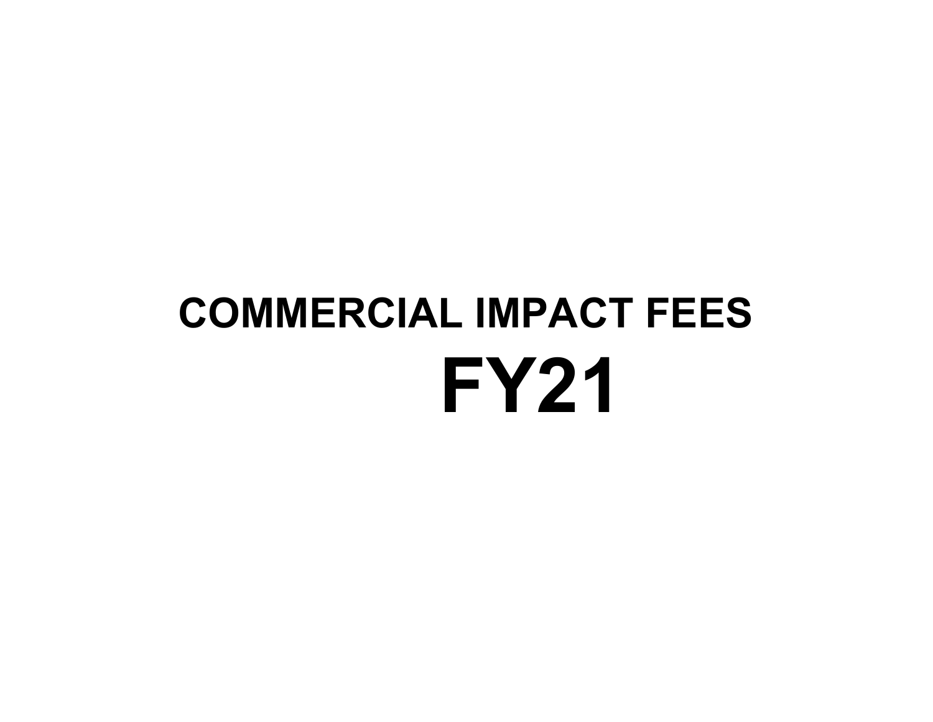# **COMMERCIAL IMPACT FEES FY21**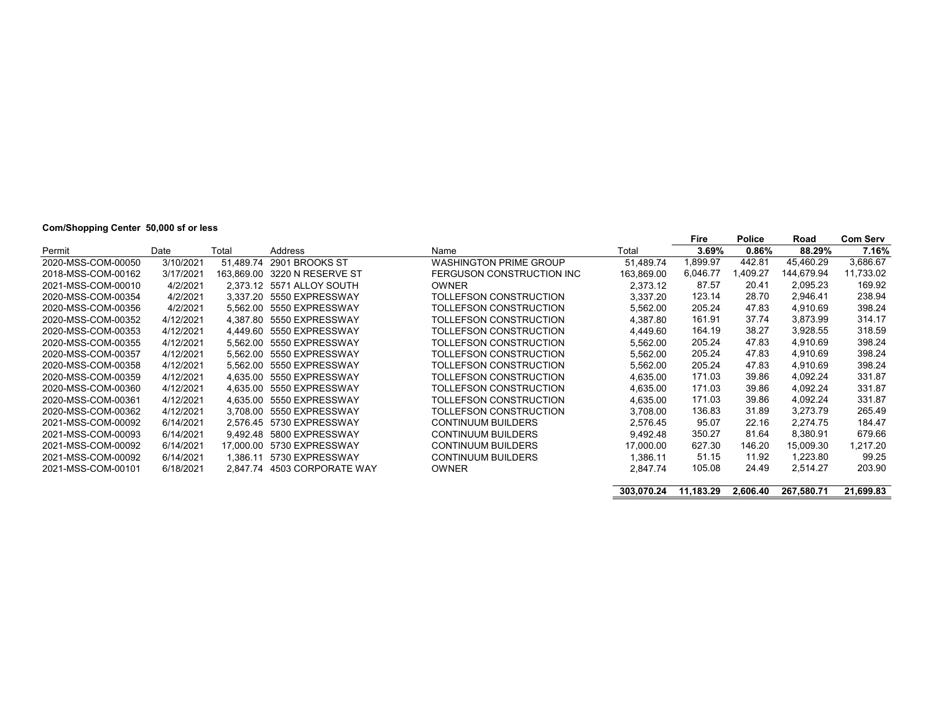# **Com/Shopping Center 50,000 sf or less**

|                    |           |           |                              |                               |            | Fire      | <b>Police</b> | Road       | <b>Com Serv</b> |
|--------------------|-----------|-----------|------------------------------|-------------------------------|------------|-----------|---------------|------------|-----------------|
| Permit             | Date      | Total     | Address                      | Name                          | Total      | 3.69%     | 0.86%         | 88.29%     | 7.16%           |
| 2020-MSS-COM-00050 | 3/10/2021 | 51.489.74 | 2901 BROOKS ST               | <b>WASHINGTON PRIME GROUP</b> | 51,489.74  | 1,899.97  | 442.81        | 45.460.29  | 3,686.67        |
| 2018-MSS-COM-00162 | 3/17/2021 |           | 163.869.00 3220 N RESERVE ST | FERGUSON CONSTRUCTION INC     | 163,869.00 | 6,046.77  | ,409.27       | 144.679.94 | 11,733.02       |
| 2021-MSS-COM-00010 | 4/2/2021  |           | 2.373.12 5571 ALLOY SOUTH    | <b>OWNER</b>                  | 2,373.12   | 87.57     | 20.41         | 2,095.23   | 169.92          |
| 2020-MSS-COM-00354 | 4/2/2021  |           | 3.337.20 5550 EXPRESSWAY     | TOLLEFSON CONSTRUCTION        | 3,337.20   | 123.14    | 28.70         | 2,946.41   | 238.94          |
| 2020-MSS-COM-00356 | 4/2/2021  |           | 5.562.00 5550 EXPRESSWAY     | TOLLEFSON CONSTRUCTION        | 5,562.00   | 205.24    | 47.83         | 4,910.69   | 398.24          |
| 2020-MSS-COM-00352 | 4/12/2021 |           | 4.387.80 5550 EXPRESSWAY     | TOLLEFSON CONSTRUCTION        | 4,387.80   | 161.91    | 37.74         | 3,873.99   | 314.17          |
| 2020-MSS-COM-00353 | 4/12/2021 |           | 4.449.60 5550 EXPRESSWAY     | TOLLEFSON CONSTRUCTION        | 4,449.60   | 164.19    | 38.27         | 3.928.55   | 318.59          |
| 2020-MSS-COM-00355 | 4/12/2021 |           | 5,562.00 5550 EXPRESSWAY     | TOLLEFSON CONSTRUCTION        | 5,562.00   | 205.24    | 47.83         | 4,910.69   | 398.24          |
| 2020-MSS-COM-00357 | 4/12/2021 | 5.562.00  | 5550 EXPRESSWAY              | TOLLEFSON CONSTRUCTION        | 5,562.00   | 205.24    | 47.83         | 4,910.69   | 398.24          |
| 2020-MSS-COM-00358 | 4/12/2021 |           | 5.562.00 5550 EXPRESSWAY     | TOLLEFSON CONSTRUCTION        | 5,562.00   | 205.24    | 47.83         | 4.910.69   | 398.24          |
| 2020-MSS-COM-00359 | 4/12/2021 |           | 4,635.00 5550 EXPRESSWAY     | TOLLEFSON CONSTRUCTION        | 4,635.00   | 171.03    | 39.86         | 4,092.24   | 331.87          |
| 2020-MSS-COM-00360 | 4/12/2021 | 4.635.00  | 5550 EXPRESSWAY              | TOLLEFSON CONSTRUCTION        | 4,635.00   | 171.03    | 39.86         | 4,092.24   | 331.87          |
| 2020-MSS-COM-00361 | 4/12/2021 |           | 4.635.00 5550 EXPRESSWAY     | TOLLEFSON CONSTRUCTION        | 4,635.00   | 171.03    | 39.86         | 4.092.24   | 331.87          |
| 2020-MSS-COM-00362 | 4/12/2021 |           | 3.708.00 5550 EXPRESSWAY     | TOLLEFSON CONSTRUCTION        | 3,708.00   | 136.83    | 31.89         | 3,273.79   | 265.49          |
| 2021-MSS-COM-00092 | 6/14/2021 |           | 2.576.45 5730 EXPRESSWAY     | <b>CONTINUUM BUILDERS</b>     | 2,576.45   | 95.07     | 22.16         | 2,274.75   | 184.47          |
| 2021-MSS-COM-00093 | 6/14/2021 |           | 9.492.48 5800 EXPRESSWAY     | <b>CONTINUUM BUILDERS</b>     | 9,492.48   | 350.27    | 81.64         | 8,380.91   | 679.66          |
| 2021-MSS-COM-00092 | 6/14/2021 |           | 17.000.00 5730 EXPRESSWAY    | <b>CONTINUUM BUILDERS</b>     | 17.000.00  | 627.30    | 146.20        | 15,009.30  | 1,217.20        |
| 2021-MSS-COM-00092 | 6/14/2021 |           | 1.386.11 5730 EXPRESSWAY     | <b>CONTINUUM BUILDERS</b>     | 1,386.11   | 51.15     | 11.92         | 1,223.80   | 99.25           |
| 2021-MSS-COM-00101 | 6/18/2021 |           | 2.847.74 4503 CORPORATE WAY  | <b>OWNER</b>                  | 2,847.74   | 105.08    | 24.49         | 2,514.27   | 203.90          |
|                    |           |           |                              |                               | 303.070.24 | 11.183.29 | 2,606.40      | 267.580.71 | 21.699.83       |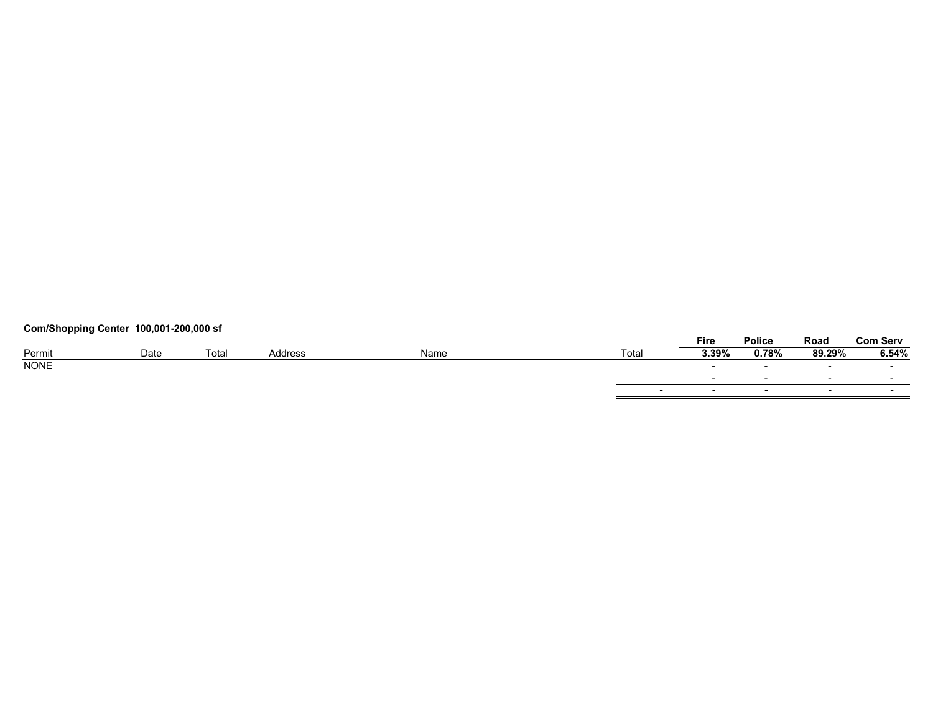# **Com/Shopping Center 100,001-200,000 sf**

|             |      |       |         |      |        | Fire   | Police | Road   | <b>Com Serv</b> |
|-------------|------|-------|---------|------|--------|--------|--------|--------|-----------------|
| Permit      | Date | Total | Address | Name | Total  | 3.39%  | 0.78%  | 89.29% | 6.54%           |
| <b>NONE</b> |      |       |         |      |        | $\sim$ |        | $\sim$ | $\sim$          |
|             |      |       |         |      |        |        |        |        |                 |
|             |      |       |         |      | $\sim$ |        |        | $\sim$ | $\sim$          |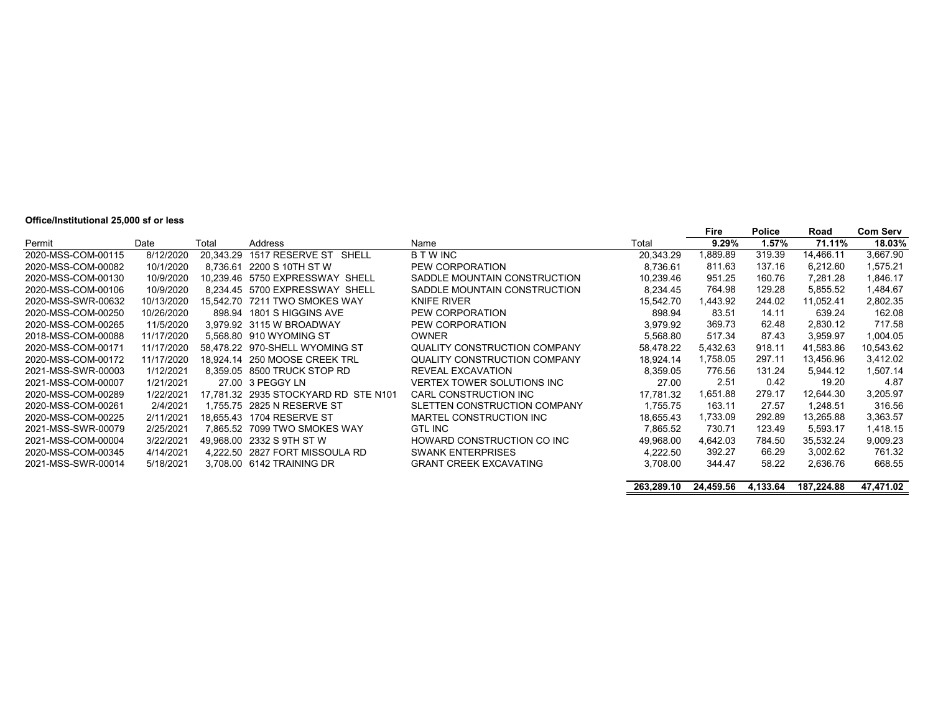#### **Office/Institutional 25,000 sf or less**

|                    |            |           |                                |                               |           | Fire     | <b>Police</b> | Road      | <b>Com Serv</b> |
|--------------------|------------|-----------|--------------------------------|-------------------------------|-----------|----------|---------------|-----------|-----------------|
| Permit             | Date       | Total     | Address                        | Name                          | Total     | $9.29\%$ | 1.57%         | 71.11%    | 18.03%          |
| 2020-MSS-COM-00115 | 8/12/2020  | 20.343.29 | 1517 RESERVE ST<br>SHELL       | <b>B T W INC</b>              | 20.343.29 | 1,889.89 | 319.39        | 14.466.11 | 3,667.90        |
| 2020-MSS-COM-00082 | 10/1/2020  | 8.736.61  | 2200 S 10TH ST W               | PEW CORPORATION               | 8.736.61  | 811.63   | 137.16        | 6,212.60  | 1,575.21        |
| 2020-MSS-COM-00130 | 10/9/2020  | 10.239.46 | 5750 EXPRESSWAY SHELL          | SADDLE MOUNTAIN CONSTRUCTION  | 10.239.46 | 951.25   | 160.76        | 7.281.28  | 1,846.17        |
| 2020-MSS-COM-00106 | 10/9/2020  | 8.234.45  | 5700 EXPRESSWAY SHELL          | SADDLE MOUNTAIN CONSTRUCTION  | 8.234.45  | 764.98   | 129.28        | 5.855.52  | .484.67         |
| 2020-MSS-SWR-00632 | 10/13/2020 | 15.542.70 | 7211 TWO SMOKES WAY            | <b>KNIFE RIVER</b>            | 15.542.70 | 1,443.92 | 244.02        | 11,052.41 | 2,802.35        |
| 2020-MSS-COM-00250 | 10/26/2020 | 898.94    | 1801 S HIGGINS AVE             | PEW CORPORATION               | 898.94    | 83.51    | 14.11         | 639.24    | 162.08          |
| 2020-MSS-COM-00265 | 11/5/2020  |           | 3.979.92 3115 W BROADWAY       | PEW CORPORATION               | 3.979.92  | 369.73   | 62.48         | 2,830.12  | 717.58          |
| 2018-MSS-COM-00088 | 11/17/2020 |           | 5.568.80 910 WYOMING ST        | <b>OWNER</b>                  | 5.568.80  | 517.34   | 87.43         | 3.959.97  | 1,004.05        |
| 2020-MSS-COM-00171 | 11/17/2020 |           | 58.478.22 970-SHELL WYOMING ST | QUALITY CONSTRUCTION COMPANY  | 58.478.22 | 5,432.63 | 918.11        | 41,583.86 | 10,543.62       |
| 2020-MSS-COM-00172 | 11/17/2020 |           | 18.924.14 250 MOOSE CREEK TRL  | QUALITY CONSTRUCTION COMPANY  | 18.924.14 | 1,758.05 | 297.11        | 13.456.96 | 3,412.02        |
| 2021-MSS-SWR-00003 | 1/12/2021  |           | 8.359.05 8500 TRUCK STOP RD    | <b>REVEAL EXCAVATION</b>      | 8.359.05  | 776.56   | 131.24        | 5.944.12  | 1,507.14        |
| 2021-MSS-COM-00007 | 1/21/2021  |           | 27.00 3 PEGGY LN               | VERTEX TOWER SOLUTIONS INC    | 27.00     | 2.51     | 0.42          | 19.20     | 4.87            |
| 2020-MSS-COM-00289 | 1/22/2021  | 17.781.32 | 2935 STOCKYARD RD STE N101     | CARL CONSTRUCTION INC         | 17.781.32 | 1,651.88 | 279.17        | 12.644.30 | 3,205.97        |
| 2020-MSS-COM-00261 | 2/4/2021   | 1.755.75  | 2825 N RESERVE ST              | SLETTEN CONSTRUCTION COMPANY  | 1.755.75  | 163.11   | 27.57         | 1,248.51  | 316.56          |
| 2020-MSS-COM-00225 | 2/11/2021  | 18.655.43 | 1704 RESERVE ST                | MARTEL CONSTRUCTION INC       | 18.655.43 | 1.733.09 | 292.89        | 13.265.88 | 3,363.57        |
| 2021-MSS-SWR-00079 | 2/25/2021  | 7.865.52  | 7099 TWO SMOKES WAY            | <b>GTL INC</b>                | 7,865.52  | 730.71   | 123.49        | 5,593.17  | 1,418.15        |
| 2021-MSS-COM-00004 | 3/22/2021  |           | 49.968.00 2332 S 9TH ST W      | HOWARD CONSTRUCTION CO INC    | 49.968.00 | 4.642.03 | 784.50        | 35,532.24 | 9,009.23        |
| 2020-MSS-COM-00345 | 4/14/2021  | 4.222.50  | 2827 FORT MISSOULA RD          | <b>SWANK ENTERPRISES</b>      | 4,222.50  | 392.27   | 66.29         | 3,002.62  | 761.32          |
| 2021-MSS-SWR-00014 | 5/18/2021  |           | 3.708.00 6142 TRAINING DR      | <b>GRANT CREEK EXCAVATING</b> | 3.708.00  | 344.47   | 58.22         | 2.636.76  | 668.55          |
|                    |            |           |                                |                               |           |          |               |           |                 |

**263,289.10 24,459.56 4,133.64 187,224.88 47,471.02**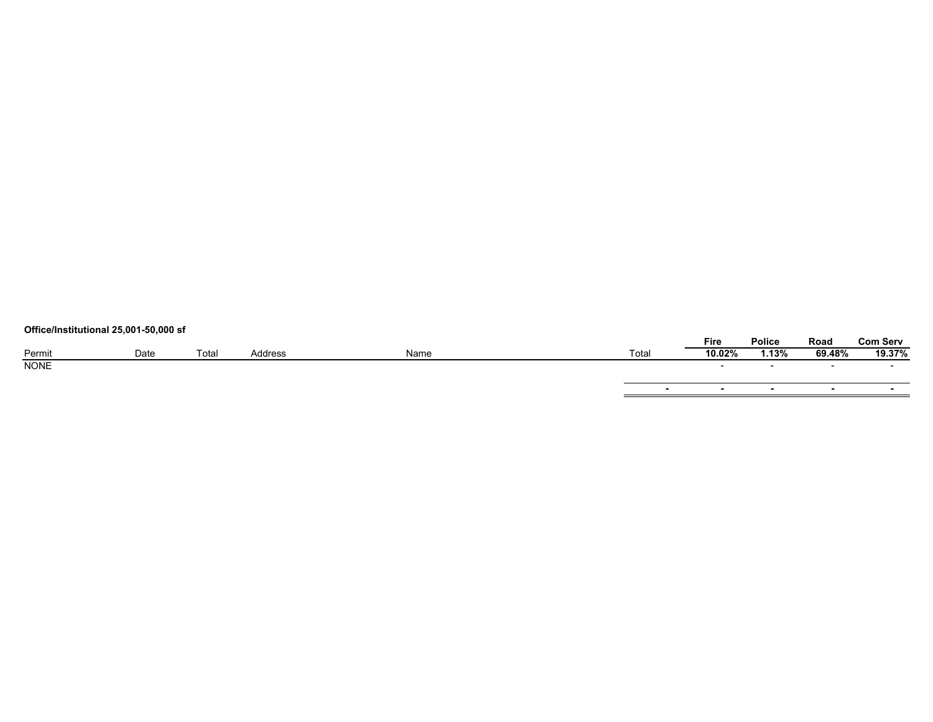# **Office/Institutional 25,001-50,000 sf**

|             |      |       |         |      |       | Fire   | Police       | Road   | Com Serv |
|-------------|------|-------|---------|------|-------|--------|--------------|--------|----------|
| Permit      | Date | Total | Address | Name | Total | 10.02% | <b>1.13%</b> | 69.48% | 19.37%   |
| <b>NONE</b> |      |       |         |      |       |        |              |        |          |
|             |      |       |         |      |       |        |              |        |          |
|             |      |       |         |      |       | . .    | . .          | . .    |          |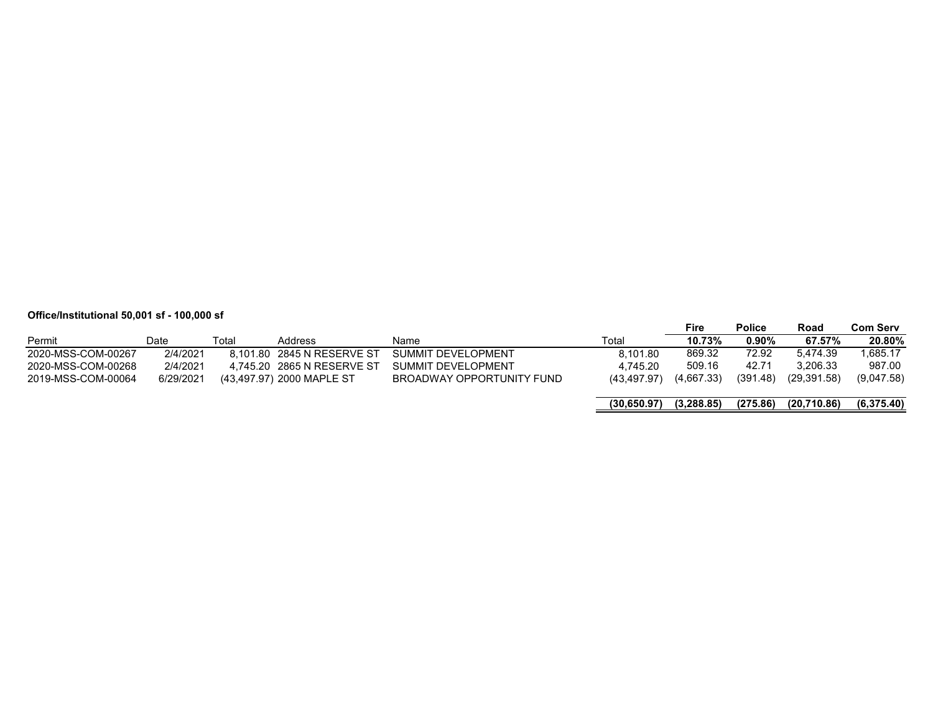# **Office/Institutional 50,001 sf - 100,000 sf**

|                    |           |       |                            |                           |              | Fire       | <b>Police</b> | Road         | <b>Com Serv</b> |
|--------------------|-----------|-------|----------------------------|---------------------------|--------------|------------|---------------|--------------|-----------------|
| Permit             | Date      | Total | <b>Address</b>             | Name                      | Total        | 10.73%     | $0.90\%$      | 67.57%       | 20.80%          |
| 2020-MSS-COM-00267 | 2/4/2021  |       | 8.101.80 2845 N RESERVE ST | SUMMIT DEVELOPMENT        | 8.101.80     | 869.32     | 72.92         | 5.474.39     | 1.685.17        |
| 2020-MSS-COM-00268 | 2/4/2021  |       | 4.745.20 2865 N RESERVE ST | SUMMIT DEVELOPMENT        | 4.745.20     | 509.16     | 42.71         | 3.206.33     | 987.00          |
| 2019-MSS-COM-00064 | 6/29/2021 |       | (43,497.97) 2000 MAPLE ST  | BROADWAY OPPORTUNITY FUND | (43.497.97)  | (4,667.33) | (391.48)      | (29, 391.58) | (9,047.58)      |
|                    |           |       |                            |                           | (30, 650.97) | (3.288.85) | (275.86)      | (20,710.86)  | (6,375.40)      |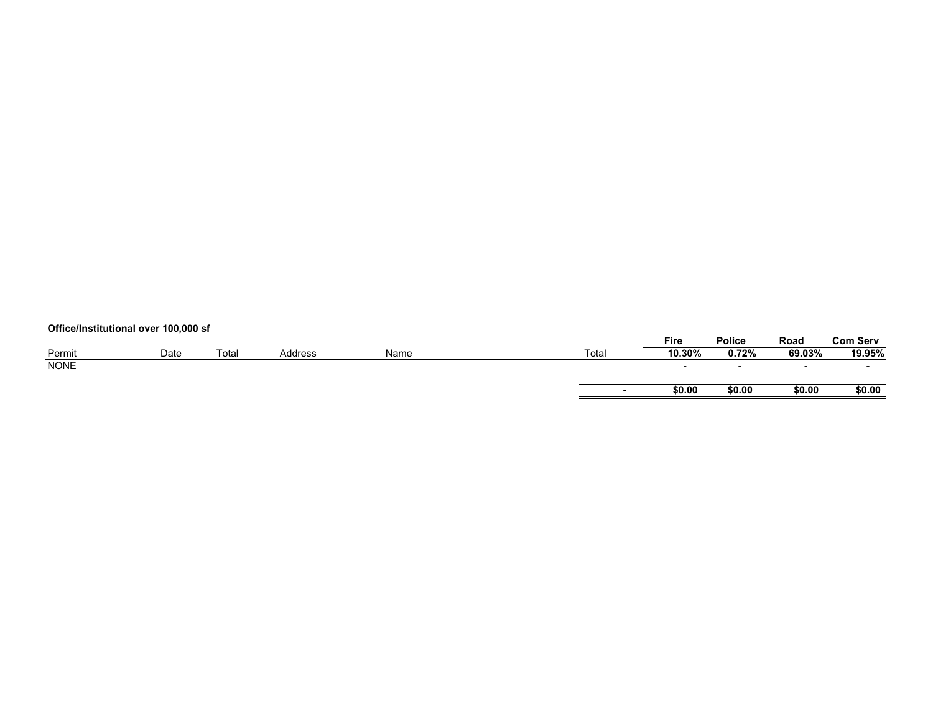# **Office/Institutional over 100,000 sf**

|             |      |       |         |      |       | Fire                     | Police | Road   | <b>Com Serv</b>          |
|-------------|------|-------|---------|------|-------|--------------------------|--------|--------|--------------------------|
| Permit      | Date | Total | Address | Name | Total | 10.30%                   | 0.72%  | 69.03% | 19.95%                   |
| <b>NONE</b> |      |       |         |      |       | $\overline{\phantom{0}}$ |        | -      | $\overline{\phantom{0}}$ |
|             |      |       |         |      |       | \$0.00                   | \$0.00 | \$0.00 | \$0.00                   |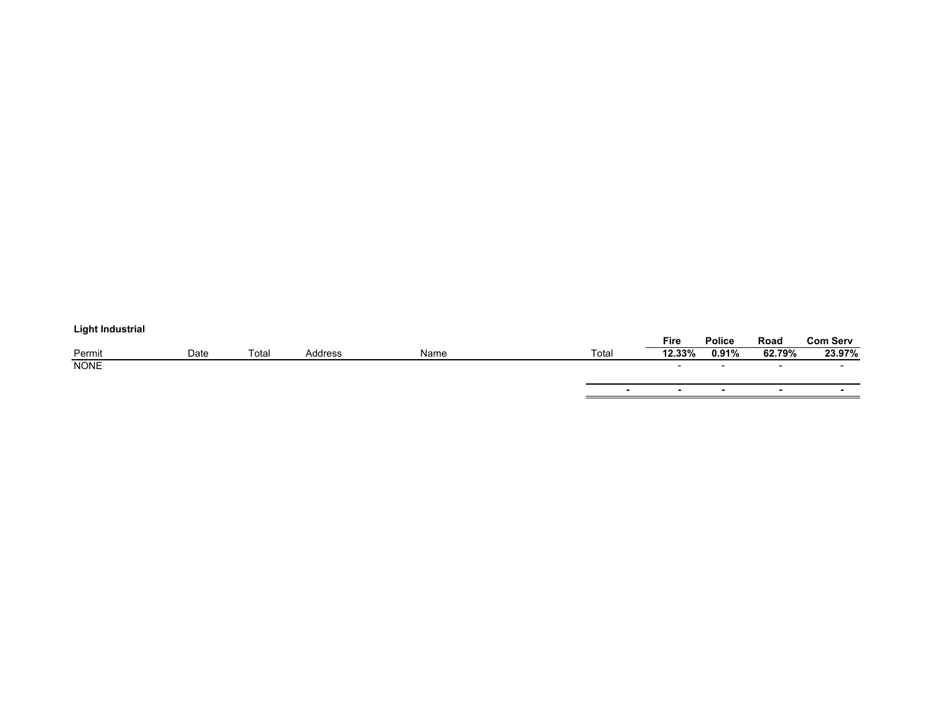# **Light Industrial**

| ___________ |      |       |                |      |        | <b>Fire</b>              | Police | Road   | <b>Com Serv</b> |
|-------------|------|-------|----------------|------|--------|--------------------------|--------|--------|-----------------|
| Permit      | Date | Total | <b>Address</b> | Name | Total  | 12.33%                   | 0.91%  | 62.79% | 23.97%          |
| <b>NONE</b> |      |       |                |      |        | $\overline{\phantom{0}}$ |        | $\sim$ |                 |
|             |      |       |                |      |        |                          |        |        |                 |
|             |      |       |                |      | $\sim$ | $\blacksquare$           |        |        | $\sim$          |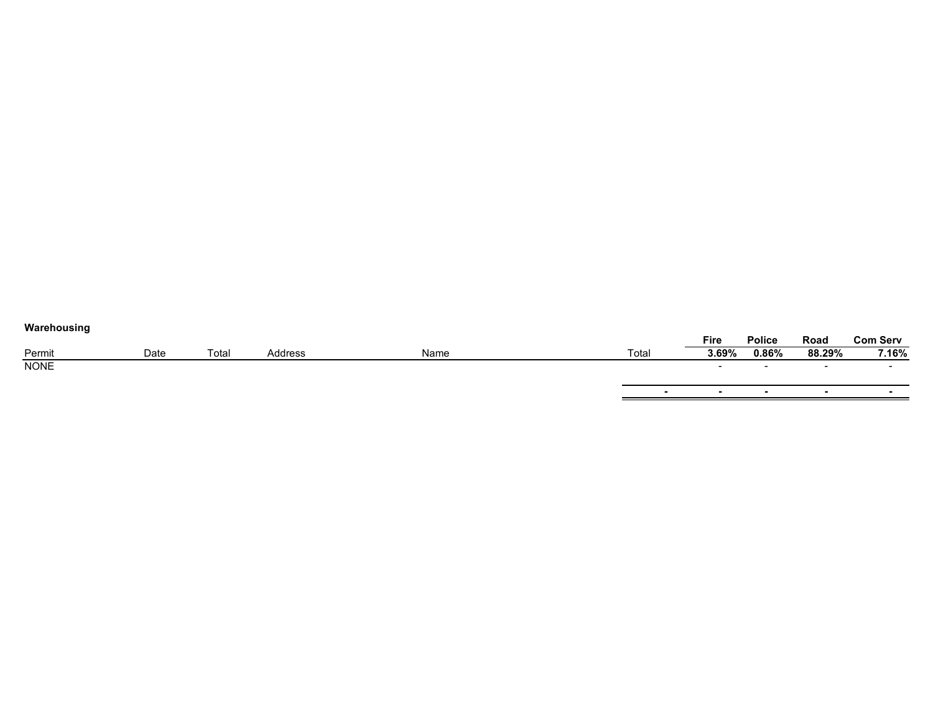| Warehousing |      |       |         |      |       |                          |                          |                          |                          |
|-------------|------|-------|---------|------|-------|--------------------------|--------------------------|--------------------------|--------------------------|
|             |      |       |         |      |       | Fire                     | <b>Police</b>            | Road                     | <b>Com Serv</b>          |
| Permit      | Date | Total | Address | Name | Total | 3.69%                    | 0.86%                    | 88.29%                   | 7.16%                    |
| <b>NONE</b> |      |       |         |      |       | $\overline{\phantom{0}}$ | $\overline{\phantom{0}}$ | $\overline{\phantom{0}}$ | $\overline{\phantom{0}}$ |
|             |      |       |         |      |       |                          |                          |                          |                          |
|             |      |       |         |      |       |                          | $\overline{\phantom{0}}$ | . .                      | $\overline{\phantom{a}}$ |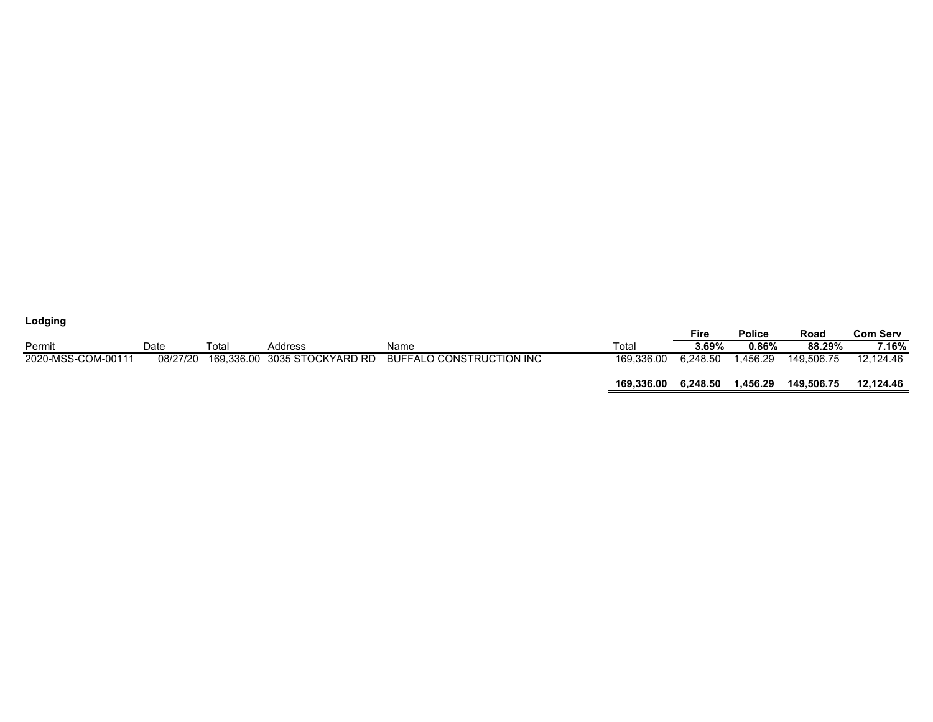| Lodging            |          |       |                              |                          |            |          |               |            |                 |
|--------------------|----------|-------|------------------------------|--------------------------|------------|----------|---------------|------------|-----------------|
|                    |          |       |                              |                          |            | Fire     | <b>Police</b> | Road       | <b>Com Serv</b> |
| Permit             | Date     | Total | Address                      | Name                     | Total      | $3.69\%$ | 0.86%         | 88.29%     | 7.16%           |
| 2020-MSS-COM-00111 | 08/27/20 |       | 169,336.00 3035 STOCKYARD RD | BUFFALO CONSTRUCTION INC | 169.336.00 | 6.248.50 | .456.29       | 149.506.75 | 12.124.46       |
|                    |          |       |                              |                          | 169.336.00 | 6.248.50 | .456.29       | 149.506.75 | 12.124.46       |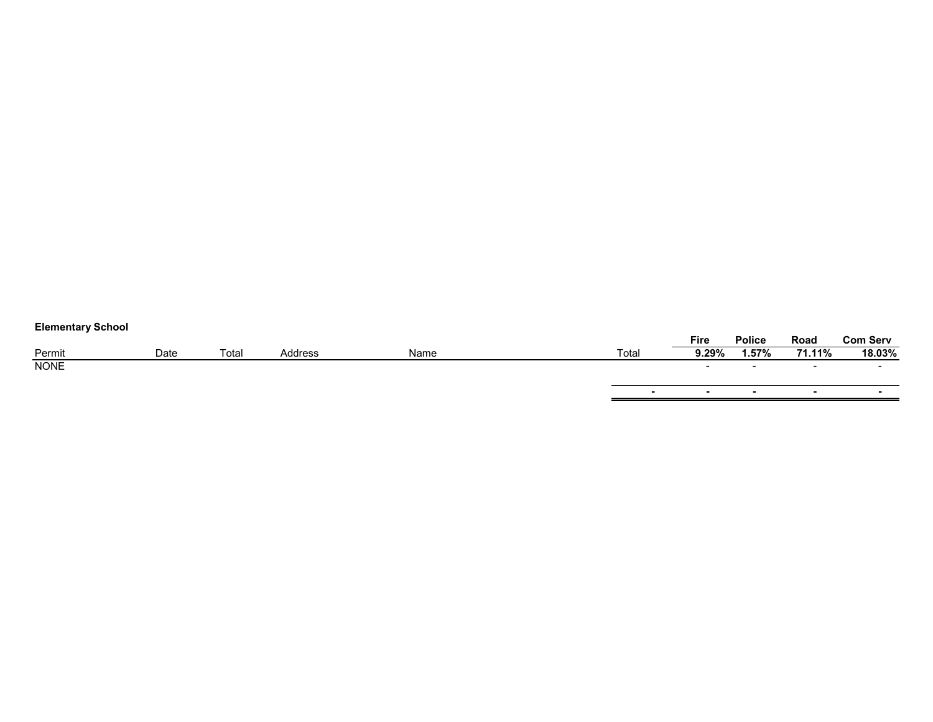| <b>Elementary Scribol</b> |      |       |         |      |                          |                          |               |                          |                 |
|---------------------------|------|-------|---------|------|--------------------------|--------------------------|---------------|--------------------------|-----------------|
|                           |      |       |         |      |                          | Fire                     | <b>Police</b> | Road                     | <b>Com Serv</b> |
| Permit                    | Date | Total | Address | Name | Total                    | 9.29%                    | 1.57%         | 71.11%                   | 18.03%          |
| <b>NONE</b>               |      |       |         |      |                          | $\overline{\phantom{a}}$ |               | $\overline{\phantom{0}}$ | $\sim$          |
|                           |      |       |         |      |                          |                          |               |                          |                 |
|                           |      |       |         |      | $\overline{\phantom{0}}$ | $\overline{\phantom{a}}$ |               |                          |                 |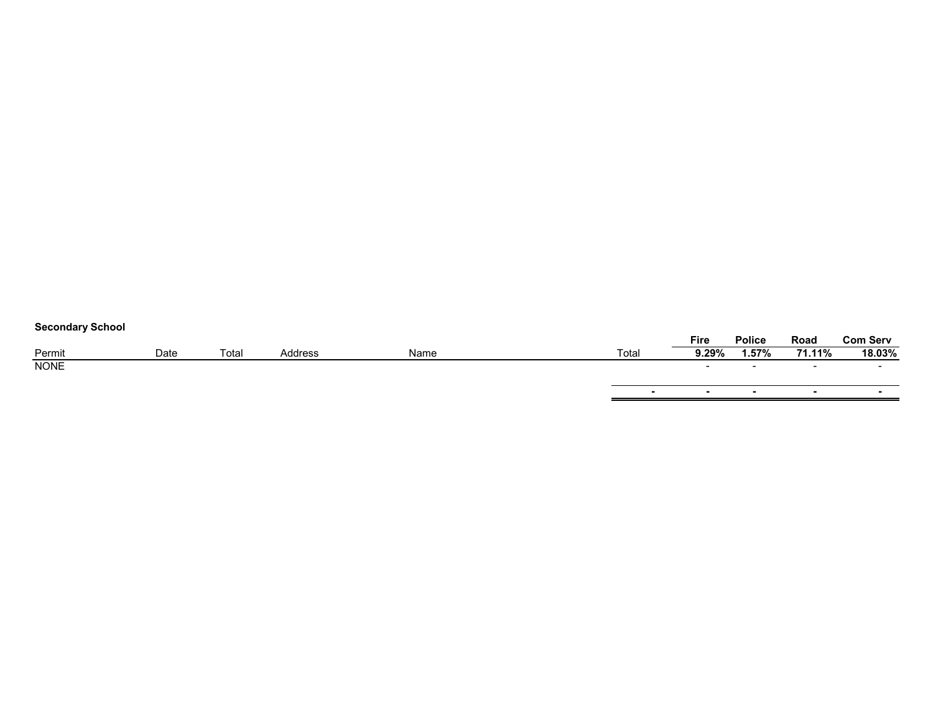|  | <b>Secondary School</b> |  |  |
|--|-------------------------|--|--|
|--|-------------------------|--|--|

| <b>OUGOTION &amp; OUTDOT</b> |      |       |         |      |                          |                          |               |                          |                 |
|------------------------------|------|-------|---------|------|--------------------------|--------------------------|---------------|--------------------------|-----------------|
|                              |      |       |         |      |                          | Fire                     | <b>Police</b> | Road                     | <b>Com Serv</b> |
| Permit                       | Date | Total | Address | Name | Total                    | 9.29%                    | 1.57%         | 71.11%                   | 18.03%          |
| <b>NONE</b>                  |      |       |         |      |                          | $\sim$                   | $\sim$        | $\sim$                   |                 |
|                              |      |       |         |      |                          |                          |               |                          |                 |
|                              |      |       |         |      | $\overline{\phantom{0}}$ | $\overline{\phantom{a}}$ |               | $\overline{\phantom{a}}$ | -               |